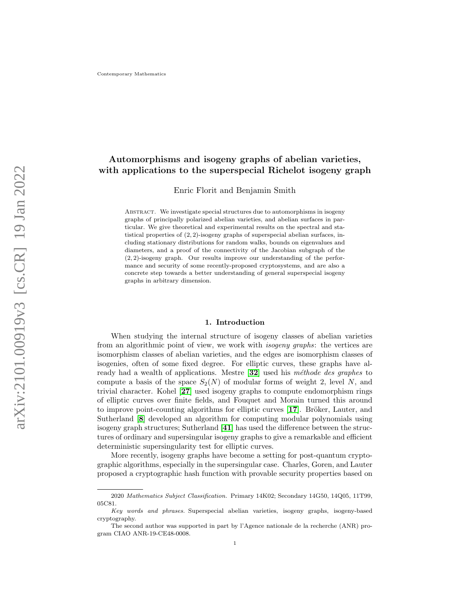# Automorphisms and isogeny graphs of abelian varieties, with applications to the superspecial Richelot isogeny graph

Enric Florit and Benjamin Smith

Abstract. We investigate special structures due to automorphisms in isogeny graphs of principally polarized abelian varieties, and abelian surfaces in particular. We give theoretical and experimental results on the spectral and statistical properties of (2, 2)-isogeny graphs of superspecial abelian surfaces, including stationary distributions for random walks, bounds on eigenvalues and diameters, and a proof of the connectivity of the Jacobian subgraph of the  $(2, 2)$ -isogeny graph. Our results improve our understanding of the performance and security of some recently-proposed cryptosystems, and are also a concrete step towards a better understanding of general superspecial isogeny graphs in arbitrary dimension.

#### 1. Introduction

When studying the internal structure of isogeny classes of abelian varieties from an algorithmic point of view, we work with isogeny graphs: the vertices are isomorphism classes of abelian varieties, and the edges are isomorphism classes of isogenies, often of some fixed degree. For elliptic curves, these graphs have already had a wealth of applications. Mestre  $[32]$  $[32]$  $[32]$  used his *méthode des graphes* to compute a basis of the space  $S_2(N)$  of modular forms of weight 2, level N, and trivial character. Kohel [[27](#page-23-1)] used isogeny graphs to compute endomorphism rings of elliptic curves over finite fields, and Fouquet and Morain turned this around to improve point-counting algorithms for elliptic curves  $[17]$  $[17]$  $[17]$ . Bröker, Lauter, and Sutherland [[8](#page-22-0)] developed an algorithm for computing modular polynomials using isogeny graph structures; Sutherland [[41](#page-24-0)] has used the difference between the structures of ordinary and supersingular isogeny graphs to give a remarkable and efficient deterministic supersingularity test for elliptic curves.

More recently, isogeny graphs have become a setting for post-quantum cryptographic algorithms, especially in the supersingular case. Charles, Goren, and Lauter proposed a cryptographic hash function with provable security properties based on

<sup>2020</sup> Mathematics Subject Classification. Primary 14K02; Secondary 14G50, 14Q05, 11T99, 05C81.

Key words and phrases. Superspecial abelian varieties, isogeny graphs, isogeny-based cryptography.

The second author was supported in part by l'Agence nationale de la recherche (ANR) program CIAO ANR-19-CE48-0008.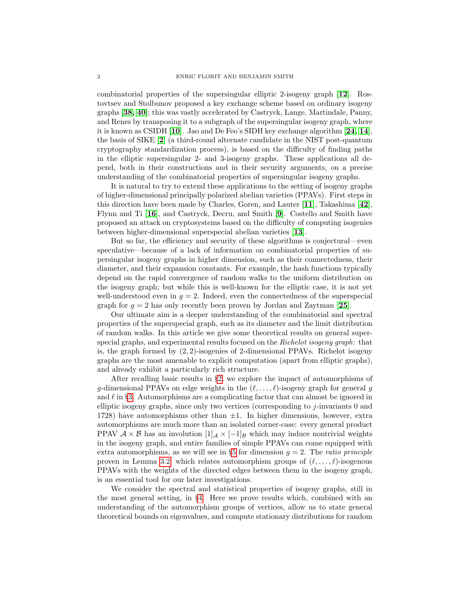combinatorial properties of the supersingular elliptic 2-isogeny graph [[12](#page-22-1)]. Rostovtsev and Stolbunov proposed a key exchange scheme based on ordinary isogeny graphs [[38,](#page-23-3) [40](#page-24-1)]; this was vastly accelerated by Castryck, Lange, Martindale, Panny, and Renes by transposing it to a subgraph of the supersingular isogeny graph, where it is known as CSIDH [[10](#page-22-2)]. Jao and De Feo's SIDH key exchange algorithm [[24,](#page-23-4) [14](#page-23-5)], the basis of SIKE [[2](#page-21-0)] (a third-round alternate candidate in the NIST post-quantum cryptography standardization process), is based on the difficulty of finding paths in the elliptic supersingular 2- and 3-isogeny graphs. These applications all depend, both in their constructions and in their security arguments, on a precise understanding of the combinatorial properties of supersingular isogeny graphs.

It is natural to try to extend these applications to the setting of isogeny graphs of higher-dimensional principally polarized abelian varieties (PPAVs). First steps in this direction have been made by Charles, Goren, and Lauter [[11](#page-22-3)], Takashima [[42](#page-24-2)], Flynn and Ti [[16](#page-23-6)], and Castryck, Decru, and Smith [[9](#page-22-4)]. Costello and Smith have proposed an attack on cryptosystems based on the difficulty of computing isogenies between higher-dimensional superspecial abelian varieties [[13](#page-22-5)].

But so far, the efficiency and security of these algorithms is conjectural—even speculative—because of a lack of information on combinatorial properties of supersingular isogeny graphs in higher dimension, such as their connectedness, their diameter, and their expansion constants. For example, the hash functions typically depend on the rapid convergence of random walks to the uniform distribution on the isogeny graph; but while this is well-known for the elliptic case, it is not yet well-understood even in  $g = 2$ . Indeed, even the connectedness of the superspecial graph for  $g = 2$  has only recently been proven by Jordan and Zaytman [[25](#page-23-7)].

Our ultimate aim is a deeper understanding of the combinatorial and spectral properties of the superspecial graph, such as its diameter and the limit distribution of random walks. In this article we give some theoretical results on general superspecial graphs, and experimental results focused on the Richelot isogeny graph: that is, the graph formed by  $(2, 2)$ -isogenies of 2-dimensional PPAVs. Richelot isogeny graphs are the most amenable to explicit computation (apart from elliptic graphs), and already exhibit a particularly rich structure.

After recalling basic results in §[2,](#page-2-0) we explore the impact of automorphisms of g-dimensional PPAVs on edge weights in the  $(\ell, \ldots, \ell)$ -isogeny graph for general g and  $\ell$  in §[3.](#page-3-0) Automorphisms are a complicating factor that can almost be ignored in elliptic isogeny graphs, since only two vertices (corresponding to j-invariants 0 and 1728) have automorphisms other than  $\pm 1$ . In higher dimensions, however, extra automorphisms are much more than an isolated corner-case: every general product PPAV  $A \times B$  has an involution  $[1]_A \times [-1]_B$  which may induce nontrivial weights in the isogeny graph, and entire families of simple PPAVs can come equipped with extra automorphisms, as we will see in §[5](#page-11-0) for dimension  $g = 2$ . The *ratio principle* proven in Lemma [3.2,](#page-4-0) which relates automorphism groups of  $(\ell, \ldots, \ell)$ -isogenous PPAVs with the weights of the directed edges between them in the isogeny graph, is an essential tool for our later investigations.

We consider the spectral and statistical properties of isogeny graphs, still in the most general setting, in §[4.](#page-5-0) Here we prove results which, combined with an understanding of the automorphism groups of vertices, allow us to state general theoretical bounds on eigenvalues, and compute stationary distributions for random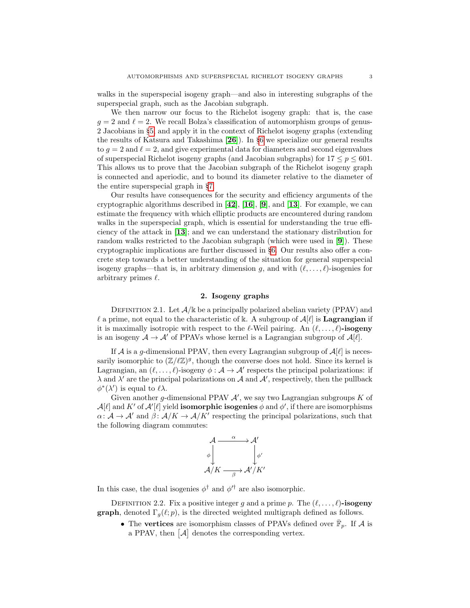walks in the superspecial isogeny graph—and also in interesting subgraphs of the superspecial graph, such as the Jacobian subgraph.

We then narrow our focus to the Richelot isogeny graph: that is, the case  $g = 2$  and  $\ell = 2$ . We recall Bolza's classification of automorphism groups of genus-2 Jacobians in §[5,](#page-11-0) and apply it in the context of Richelot isogeny graphs (extending the results of Katsura and Takashima [[26](#page-23-8)]). In §[6](#page-15-0) we specialize our general results to  $g = 2$  and  $\ell = 2$ , and give experimental data for diameters and second eigenvalues of superspecial Richelot isogeny graphs (and Jacobian subgraphs) for  $17 \le p \le 601$ . This allows us to prove that the Jacobian subgraph of the Richelot isogeny graph is connected and aperiodic, and to bound its diameter relative to the diameter of the entire superspecial graph in §[7.](#page-18-0)

Our results have consequences for the security and efficiency arguments of the cryptographic algorithms described in  $[42]$  $[42]$  $[42]$ ,  $[16]$  $[16]$  $[16]$ ,  $[9]$  $[9]$  $[9]$ , and  $[13]$  $[13]$  $[13]$ . For example, we can estimate the frequency with which elliptic products are encountered during random walks in the superspecial graph, which is essential for understanding the true efficiency of the attack in [[13](#page-22-5)]; and we can understand the stationary distribution for random walks restricted to the Jacobian subgraph (which were used in [[9](#page-22-4)]). These cryptographic implications are further discussed in §[6.](#page-15-0) Our results also offer a concrete step towards a better understanding of the situation for general superspecial isogeny graphs—that is, in arbitrary dimension g, and with  $(\ell, \ldots, \ell)$ -isogenies for arbitrary primes  $\ell$ .

## 2. Isogeny graphs

<span id="page-2-0"></span>DEFINITION 2.1. Let  $\mathcal{A}/\mathbb{k}$  be a principally polarized abelian variety (PPAV) and  $\ell$  a prime, not equal to the characteristic of k. A subgroup of  $\mathcal{A}[\ell]$  is **Lagrangian** if it is maximally isotropic with respect to the  $\ell$ -Weil pairing. An  $(\ell, \ldots, \ell)$ -isogeny is an isogeny  $A \to A'$  of PPAVs whose kernel is a Lagrangian subgroup of  $A[\ell]$ .

If A is a g-dimensional PPAV, then every Lagrangian subgroup of  $A[\ell]$  is necessarily isomorphic to  $(\mathbb{Z}/\ell\mathbb{Z})^g$ , though the converse does not hold. Since its kernel is Lagrangian, an  $(\ell, \ldots, \ell)$ -isogeny  $\phi : A \to A'$  respects the principal polarizations: if  $\lambda$  and  $\lambda'$  are the principal polarizations on A and A', respectively, then the pullback  $\phi^*(\lambda')$  is equal to  $\ell \lambda$ .

Given another g-dimensional PPAV  $A'$ , we say two Lagrangian subgroups  $K$  of  $\mathcal{A}[\ell]$  and  $K'$  of  $\mathcal{A}'[\ell]$  yield **isomorphic isogenies**  $\phi$  and  $\phi'$ , if there are isomorphisms  $\alpha: \mathcal{A} \to \mathcal{A}'$  and  $\beta: \mathcal{A}/K \to \mathcal{A}/K'$  respecting the principal polarizations, such that the following diagram commutes:



In this case, the dual isogenies  $\phi^{\dagger}$  and  $\phi'^{\dagger}$  are also isomorphic.

DEFINITION 2.2. Fix a positive integer g and a prime p. The  $(\ell, \ldots, \ell)$ -isogeny **graph**, denoted  $\Gamma_a(\ell; p)$ , is the directed weighted multigraph defined as follows.

• The vertices are isomorphism classes of PPAVs defined over  $\bar{\mathbb{F}}_p$ . If A is a PPAV, then  $[\mathcal{A}]$  denotes the corresponding vertex.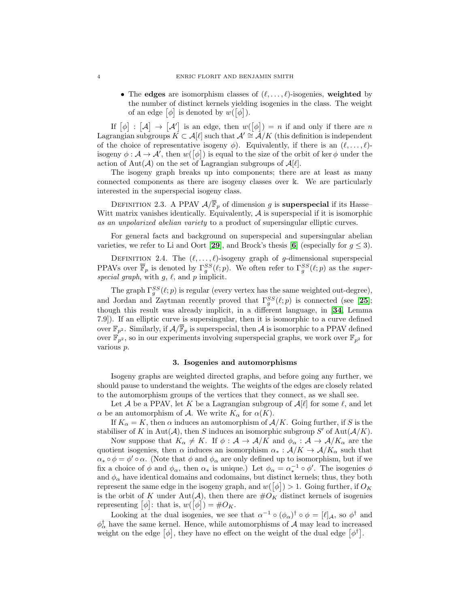• The edges are isomorphism classes of  $(\ell, \ldots, \ell)$ -isogenies, weighted by the number of distinct kernels yielding isogenies in the class. The weight of an edge  $[\phi]$  is denoted by  $w([\phi]).$ 

If  $[\phi] : [\mathcal{A}] \to [\mathcal{A}']$  is an edge, then  $w([\phi]) = n$  if and only if there are n Lagrangian subgroups  $K \subset \mathcal{A}[\ell]$  such that  $\mathcal{A}' \cong \mathcal{A}/K$  (this definition is independent of the choice of representative isogeny  $\phi$ ). Equivalently, if there is an  $(\ell, \ldots, \ell)$ isogeny  $\phi: \mathcal{A} \to \mathcal{A}'$ , then  $w([\phi])$  is equal to the size of the orbit of ker  $\phi$  under the action of Aut $(\mathcal{A})$  on the set of Lagrangian subgroups of  $\mathcal{A}[\ell].$ 

The isogeny graph breaks up into components; there are at least as many connected components as there are isogeny classes over k. We are particularly interested in the superspecial isogeny class.

DEFINITION 2.3. A PPAV  $\mathcal{A}/\overline{\mathbb{F}}_p$  of dimension g is **superspecial** if its Hasse-Witt matrix vanishes identically. Equivalently,  $A$  is superspecial if it is isomorphic as an unpolarized abelian variety to a product of supersingular elliptic curves.

For general facts and background on superspecial and supersingular abelian varieties, we refer to Li and Oort [[29](#page-23-9)], and Brock's thesis [[6](#page-22-6)] (especially for  $g \leq 3$ ).

DEFINITION 2.4. The  $(\ell, \ldots, \ell)$ -isogeny graph of g-dimensional superspecial PPAVs over  $\overline{\mathbb{F}}_p$  is denoted by  $\Gamma_g^{SS}(\ell;p)$ . We often refer to  $\Gamma_g^{SS}(\ell;p)$  as the superspecial graph, with  $g, \ell$ , and p implicit.

The graph  $\Gamma_g^{SS}(\ell;p)$  is regular (every vertex has the same weighted out-degree), and Jordan and Zaytman recently proved that  $\Gamma_g^{SS}(\ell;p)$  is connected (see [[25](#page-23-7)]; though this result was already implicit, in a different language, in [[34](#page-23-10), Lemma 7.9]). If an elliptic curve is supersingular, then it is isomorphic to a curve defined over  $\mathbb{F}_{p^2}$ . Similarly, if  $\mathcal{A}/\overline{\mathbb{F}}_p$  is superspecial, then  $\mathcal A$  is isomorphic to a PPAV defined over  $\mathbb{F}_{p^2}$ , so in our experiments involving superspecial graphs, we work over  $\mathbb{F}_{p^2}$  for various p.

## 3. Isogenies and automorphisms

<span id="page-3-0"></span>Isogeny graphs are weighted directed graphs, and before going any further, we should pause to understand the weights. The weights of the edges are closely related to the automorphism groups of the vertices that they connect, as we shall see.

Let A be a PPAV, let K be a Lagrangian subgroup of  $\mathcal{A}[\ell]$  for some  $\ell$ , and let  $\alpha$  be an automorphism of A. We write  $K_{\alpha}$  for  $\alpha(K)$ .

If  $K_{\alpha} = K$ , then  $\alpha$  induces an automorphism of  $A/K$ . Going further, if S is the stabiliser of K in Aut(A), then S induces an isomorphic subgroup S' of Aut( $A/K$ ).

Now suppose that  $K_{\alpha} \neq K$ . If  $\phi : A \to A/K$  and  $\phi_{\alpha} : A \to A/K_{\alpha}$  are the quotient isogenies, then  $\alpha$  induces an isomorphism  $\alpha_* : A/K \to A/K_\alpha$  such that  $\alpha_* \circ \phi = \phi' \circ \alpha$ . (Note that  $\phi$  and  $\phi_\alpha$  are only defined up to isomorphism, but if we fix a choice of  $\phi$  and  $\phi_{\alpha}$ , then  $\alpha_*$  is unique.) Let  $\phi_{\alpha} = \alpha_*^{-1} \circ \phi'$ . The isogenies  $\phi$ and  $\phi_{\alpha}$  have identical domains and codomains, but distinct kernels; thus, they both represent the same edge in the isogeny graph, and  $w([\phi]) > 1$ . Going further, if  $O_K$ is the orbit of K under Aut(A), then there are  $\#O_K$  distinct kernels of isogenies representing  $[\phi]$ : that is,  $w([\phi]) = \#O_K$ .

Looking at the dual isogenies, we see that  $\alpha^{-1} \circ (\phi_\alpha)^\dagger \circ \phi = [\ell]_{\mathcal{A}}$ , so  $\phi^\dagger$  and  $\phi_{\alpha}^{\dagger}$  have the same kernel. Hence, while automorphisms of A may lead to increased weight on the edge  $[\phi]$ , they have no effect on the weight of the dual edge  $[\phi^{\dagger}]$ .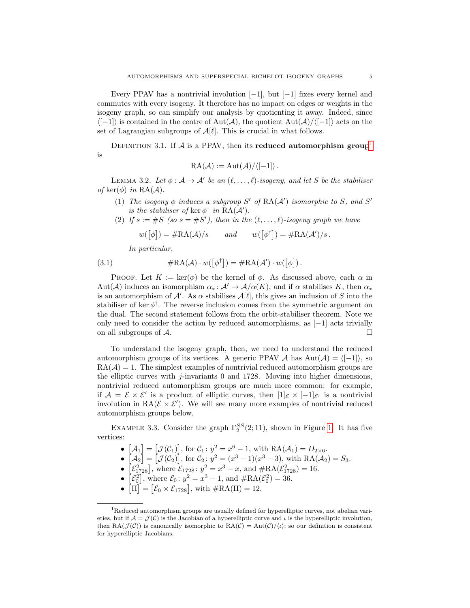Every PPAV has a nontrivial involution  $[-1]$ , but  $[-1]$  fixes every kernel and commutes with every isogeny. It therefore has no impact on edges or weights in the isogeny graph, so can simplify our analysis by quotienting it away. Indeed, since  $\langle[-1]\rangle$  is contained in the centre of Aut $(\mathcal{A})$ , the quotient Aut $(\mathcal{A})/\langle[-1]\rangle$  acts on the set of Lagrangian subgroups of  $\mathcal{A}[\ell]$ . This is crucial in what follows.

DEFINITION 3.[1](#page-4-1). If  $\mathcal A$  is a PPAV, then its reduced automorphism group<sup>1</sup> is

$$
RA(\mathcal{A}) := Aut(\mathcal{A})/\langle [-1] \rangle.
$$

<span id="page-4-0"></span>LEMMA 3.2. Let  $\phi : A \to A'$  be an  $(\ell, \ldots, \ell)$ -isogeny, and let S be the stabiliser of ker $(\phi)$  in RA( $\mathcal{A}$ ).

- (1) The isogeny  $\phi$  induces a subgroup S' of  $\text{RA}(A')$  isomorphic to S, and S' is the stabiliser of ker  $\phi^{\dagger}$  in  $RA(\mathcal{A}')$ .
- (2) If  $s := \#S$  (so  $s = \#S'$ ), then in the  $(\ell, \ldots, \ell)$ -isogeny graph we have

<span id="page-4-2"></span>
$$
w([\phi]) = #RA(\mathcal{A})/s
$$
 and  $w([\phi^{\dagger}]) = #RA(\mathcal{A}')/s$ .

In particular,

(3.1) 
$$
\#RA(\mathcal{A}) \cdot w([\phi^{\dagger}]) = \#RA(\mathcal{A}') \cdot w([\phi]).
$$

PROOF. Let  $K := \ker(\phi)$  be the kernel of  $\phi$ . As discussed above, each  $\alpha$  in Aut(A) induces an isomorphism  $\alpha_* \colon \mathcal{A}' \to \mathcal{A}/\alpha(K)$ , and if  $\alpha$  stabilises K, then  $\alpha_*$ is an automorphism of A'. As  $\alpha$  stabilises  $\mathcal{A}[\ell]$ , this gives an inclusion of S into the stabiliser of ker $\phi^{\dagger}$ . The reverse inclusion comes from the symmetric argument on the dual. The second statement follows from the orbit-stabiliser theorem. Note we only need to consider the action by reduced automorphisms, as  $[-1]$  acts trivially on all subgroups of  $\mathcal{A}$ .

To understand the isogeny graph, then, we need to understand the reduced automorphism groups of its vertices. A generic PPAV A has  $Aut(\mathcal{A}) = \langle [-1] \rangle$ , so  $RA(\mathcal{A}) = 1$ . The simplest examples of nontrivial reduced automorphism groups are the elliptic curves with j-invariants 0 and 1728. Moving into higher dimensions, nontrivial reduced automorphism groups are much more common: for example, if  $\mathcal{A} = \mathcal{E} \times \mathcal{E}'$  is a product of elliptic curves, then  $[1]_{\mathcal{E}} \times [-1]_{\mathcal{E}'}$  is a nontrivial involution in RA $(\mathcal{E} \times \mathcal{E}')$ . We will see many more examples of nontrivial reduced automorphism groups below.

EXAMPLE 3.3. Consider the graph  $\Gamma_2^{SS}(2,11)$ , shown in Figure [1.](#page-5-1) It has five vertices:

- $[\mathcal{A}_1] = [\mathcal{J}(\mathcal{C}_1)],$  for  $\mathcal{C}_1 : y^2 = x^6 1$ , with  $RA(\mathcal{A}_1) = D_{2 \times 6}$ .
- $[A_2] = [\mathcal{J}(\mathcal{C}_2)],$  for  $\mathcal{C}_2 : y^2 = (x^3 1)(x^3 3)$ , with  $RA(\mathcal{A}_2) = S_3$ .
- $[\mathcal{E}_{1728}^2]$ , where  $\mathcal{E}_{1728}$ :  $y^2 = x^3 x$ , and  $\#\text{RA}(\mathcal{E}_{1728}^2) = 16$ .
- $[\mathcal{E}_0^2]$ , where  $\mathcal{E}_0: y^2 = x^3 1$ , and  $\#\text{RA}(\mathcal{E}_0^2) = 36$ .
- $[\Pi] = [\mathcal{E}_0 \times \mathcal{E}_{1728}]$ , with  $\#\text{RA}(\Pi) = 12$ .

<span id="page-4-1"></span> ${}^{1}$ Reduced automorphism groups are usually defined for hyperelliptic curves, not abelian varieties, but if  $A = \mathcal{J}(\mathcal{C})$  is the Jacobian of a hyperelliptic curve and  $\iota$  is the hyperelliptic involution, then RA( $\mathcal{J}(\mathcal{C})$ ) is canonically isomorphic to RA( $\mathcal{C}$ ) = Aut( $\mathcal{C}/\langle \iota \rangle$ ; so our definition is consistent for hyperelliptic Jacobians.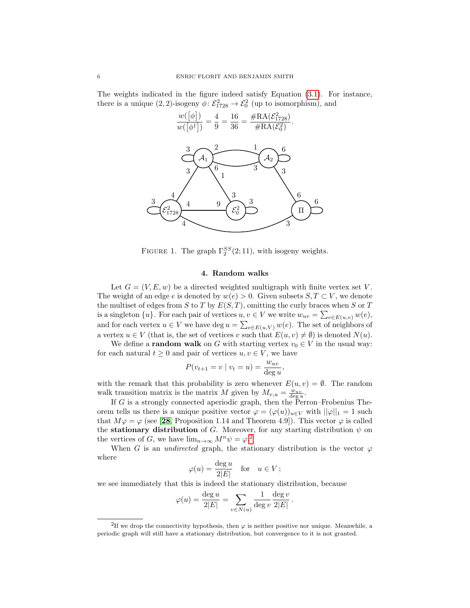<span id="page-5-1"></span>The weights indicated in the figure indeed satisfy Equation [\(3.1\)](#page-4-2). For instance, there is a unique (2, 2)-isogeny  $\phi$ :  $\mathcal{E}^2_{1728} \rightarrow \mathcal{E}^2_0$  (up to isomorphism), and



FIGURE 1. The graph  $\Gamma_2^{SS}(2;11)$ , with isogeny weights.

### 4. Random walks

<span id="page-5-0"></span>Let  $G = (V, E, w)$  be a directed weighted multigraph with finite vertex set V. The weight of an edge e is denoted by  $w(e) > 0$ . Given subsets  $S, T \subset V$ , we denote the multiset of edges from S to T by  $E(S,T)$ , omitting the curly braces when S or T is a singleton  $\{u\}$ . For each pair of vertices  $u, v \in V$  we write  $w_{uv} = \sum_{e \in E(u,v)} w(e)$ , and for each vertex  $u \in V$  we have deg  $u = \sum_{e \in E(u,V)} w(e)$ . The set of neighbors of a vertex  $u \in V$  (that is, the set of vertices v such that  $E(u, v) \neq \emptyset$ ) is denoted  $N(u)$ .

We define a **random walk** on G with starting vertex  $v_0 \in V$  in the usual way: for each natural  $t \geq 0$  and pair of vertices  $u, v \in V$ , we have

$$
P(v_{t+1} = v \mid v_t = u) = \frac{w_{uv}}{\deg u}
$$

,

with the remark that this probability is zero whenever  $E(u, v) = \emptyset$ . The random walk transition matrix is the matrix M given by  $M_{v,u} = \frac{w_{uv}}{\deg u}$ .

If G is a strongly connected aperiodic graph, then the Perron–Frobenius Theorem tells us there is a unique positive vector  $\varphi = (\varphi(u))_{u \in V}$  with  $||\varphi||_1 = 1$  such that  $M\varphi = \varphi$  (see [[28](#page-23-11), Proposition 1.14 and Theorem 4.9]). This vector  $\varphi$  is called the **stationary distribution** of G. Moreover, for any starting distribution  $\psi$  on the vertices of G, we have  $\lim_{n\to\infty} M^n \psi = \varphi^2$  $\lim_{n\to\infty} M^n \psi = \varphi^2$ .

When G is an *undirected* graph, the stationary distribution is the vector  $\varphi$ where

$$
\varphi(u) = \frac{\deg u}{2|E|} \quad \text{for} \quad u \in V \, ;
$$

we see immediately that this is indeed the stationary distribution, because

$$
\varphi(u) = \frac{\deg u}{2|E|} = \sum_{v \in N(u)} \frac{1}{\deg v} \frac{\deg v}{2|E|}.
$$

<span id="page-5-2"></span><sup>&</sup>lt;sup>2</sup>If we drop the connectivity hypothesis, then  $\varphi$  is neither positive nor unique. Meanwhile, a periodic graph will still have a stationary distribution, but convergence to it is not granted.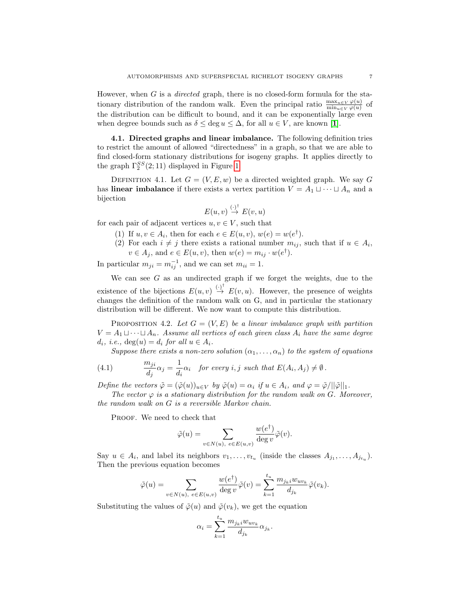However, when  $G$  is a *directed* graph, there is no closed-form formula for the stationary distribution of the random walk. Even the principal ratio  $\frac{\max_{u \in V} \varphi(u)}{\min_{u \in V} \varphi(u)}$  of the distribution can be difficult to bound, and it can be exponentially large even when degree bounds such as  $\delta \leq \deg u \leq \Delta$ , for all  $u \in V$ , are known [[1](#page-21-1)].

4.1. Directed graphs and linear imbalance. The following definition tries to restrict the amount of allowed "directedness" in a graph, so that we are able to find closed-form stationary distributions for isogeny graphs. It applies directly to the graph  $\Gamma_2^{SS}(2;11)$  displayed in Figure [1.](#page-5-1)

DEFINITION 4.1. Let  $G = (V, E, w)$  be a directed weighted graph. We say G has **linear imbalance** if there exists a vertex partition  $V = A_1 \sqcup \cdots \sqcup A_n$  and a bijection

$$
E(u, v) \stackrel{(\cdot)^{\dagger}}{\to} E(v, u)
$$

for each pair of adjacent vertices  $u, v \in V$ , such that

- (1) If  $u, v \in A_i$ , then for each  $e \in E(u, v)$ ,  $w(e) = w(e^{\dagger}).$
- (2) For each  $i \neq j$  there exists a rational number  $m_{ij}$ , such that if  $u \in A_i$ ,  $v \in A_j$ , and  $e \in E(u, v)$ , then  $w(e) = m_{ij} \cdot w(e^{\dagger}).$

In particular  $m_{ji} = m_{ij}^{-1}$ , and we can set  $m_{ii} = 1$ .

We can see  $G$  as an undirected graph if we forget the weights, due to the existence of the bijections  $E(u, v) \stackrel{(\cdot)^{\dagger}}{\rightarrow} E(v, u)$ . However, the presence of weights changes the definition of the random walk on G, and in particular the stationary distribution will be different. We now want to compute this distribution.

<span id="page-6-1"></span>PROPOSITION 4.2. Let  $G = (V, E)$  be a linear imbalance graph with partition  $V = A_1 \sqcup \cdots \sqcup A_n$ . Assume all vertices of each given class  $A_i$  have the same degree  $d_i$ , i.e.,  $deg(u) = d_i$  for all  $u \in A_i$ .

<span id="page-6-0"></span>Suppose there exists a non-zero solution  $(\alpha_1, \ldots, \alpha_n)$  to the system of equations

(4.1) 
$$
\frac{m_{ji}}{d_j}\alpha_j = \frac{1}{d_i}\alpha_i \quad \text{for every } i, j \text{ such that } E(A_i, A_j) \neq \emptyset.
$$

Define the vectors  $\tilde{\varphi} = (\tilde{\varphi}(u))_{u \in V}$  by  $\tilde{\varphi}(u) = \alpha_i$  if  $u \in A_i$ , and  $\varphi = \tilde{\varphi}/||\tilde{\varphi}||_1$ .

The vector  $\varphi$  is a stationary distribution for the random walk on G. Moreover, the random walk on G is a reversible Markov chain.

PROOF. We need to check that

$$
\tilde{\varphi}(u) = \sum_{v \in N(u), \ e \in E(u,v)} \frac{w(e^{\dagger})}{\deg v} \tilde{\varphi}(v).
$$

Say  $u \in A_i$ , and label its neighbors  $v_1, \ldots, v_{t_u}$  (inside the classes  $A_{j_1}, \ldots, A_{j_{t_u}}$ ). Then the previous equation becomes

$$
\tilde{\varphi}(u) = \sum_{v \in N(u), \ e \in E(u,v)} \frac{w(e^{\dagger})}{\deg v} \tilde{\varphi}(v) = \sum_{k=1}^{t_u} \frac{m_{j_k i} w_{uv_k}}{d_{j_k}} \tilde{\varphi}(v_k).
$$

Substituting the values of  $\tilde{\varphi}(u)$  and  $\tilde{\varphi}(v_k)$ , we get the equation

$$
\alpha_i = \sum_{k=1}^{t_u} \frac{m_{j_k i} w_{uv_k}}{d_{j_k}} \alpha_{j_k}.
$$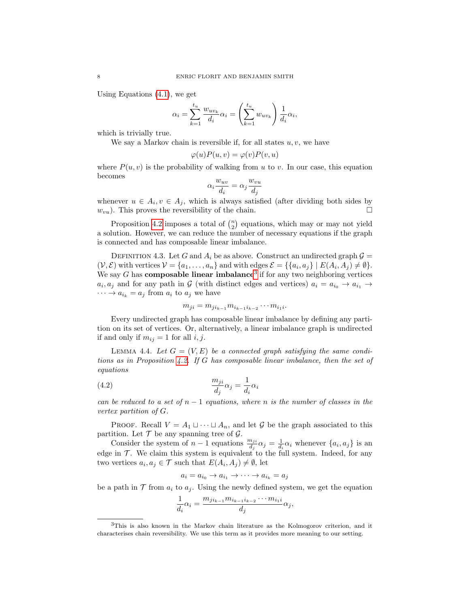Using Equations [\(4.1\)](#page-6-0), we get

$$
\alpha_i = \sum_{k=1}^{t_u} \frac{w_{uv_k}}{d_i} \alpha_i = \left(\sum_{k=1}^{t_u} w_{uv_k}\right) \frac{1}{d_i} \alpha_i,
$$

which is trivially true.

We say a Markov chain is reversible if, for all states  $u, v$ , we have

$$
\varphi(u)P(u,v) = \varphi(v)P(v,u)
$$

where  $P(u, v)$  is the probability of walking from u to v. In our case, this equation becomes

$$
\alpha_i \frac{w_{uv}}{d_i} = \alpha_j \frac{w_{vu}}{d_j}
$$

whenever  $u \in A_i, v \in A_j$ , which is always satisfied (after dividing both sides by  $w_{vu}$ ). This proves the reversibility of the chain.

Proposition [4.2](#page-6-1) imposes a total of  $\binom{n}{2}$  equations, which may or may not yield a solution. However, we can reduce the number of necessary equations if the graph is connected and has composable linear imbalance.

DEFINITION 4.3. Let G and  $A_i$  be as above. Construct an undirected graph  $\mathcal{G} =$  $(V, \mathcal{E})$  with vertices  $V = \{a_1, \ldots, a_n\}$  and with edges  $\mathcal{E} = \{\{a_i, a_j\} \mid E(A_i, A_j) \neq \emptyset\}.$ We say G has **composable linear imbalance**<sup>[3](#page-7-0)</sup> if for any two neighboring vertices  $a_i, a_j$  and for any path in G (with distinct edges and vertices)  $a_i = a_{i_0} \rightarrow a_{i_1} \rightarrow a_{i_2}$  $\cdots \rightarrow a_{i_k} = a_j$  from  $a_i$  to  $a_j$  we have

$$
m_{ji} = m_{ji_{k-1}} m_{i_{k-1}i_{k-2}} \cdots m_{i_1i}.
$$

Every undirected graph has composable linear imbalance by defining any partition on its set of vertices. Or, alternatively, a linear imbalance graph is undirected if and only if  $m_{ij} = 1$  for all i, j.

<span id="page-7-1"></span>LEMMA 4.4. Let  $G = (V, E)$  be a connected graph satisfying the same conditions as in Proposition [4.2.](#page-6-1) If G has composable linear imbalance, then the set of equations

(4.2) 
$$
\frac{m_{ji}}{d_j}\alpha_j = \frac{1}{d_i}\alpha_i
$$

can be reduced to a set of  $n-1$  equations, where n is the number of classes in the vertex partition of G.

PROOF. Recall  $V = A_1 \sqcup \cdots \sqcup A_n$ , and let G be the graph associated to this partition. Let  $\mathcal T$  be any spanning tree of  $\mathcal G$ .

Consider the system of  $n-1$  equations  $\frac{m_{ji}}{d_j}\alpha_j = \frac{1}{d_i}\alpha_i$  whenever  $\{a_i, a_j\}$  is an edge in  $\mathcal T$ . We claim this system is equivalent to the full system. Indeed, for any two vertices  $a_i, a_j \in \mathcal{T}$  such that  $E(A_i, A_j) \neq \emptyset$ , let

$$
a_i = a_{i_0} \to a_{i_1} \to \cdots \to a_{i_k} = a_j
$$

be a path in  $\mathcal T$  from  $a_i$  to  $a_j$ . Using the newly defined system, we get the equation

$$
\frac{1}{d_i}\alpha_i = \frac{m_{ji_{k-1}}m_{i_{k-1}i_{k-2}}\cdots m_{i_1i}}{d_j}\alpha_j,
$$

<span id="page-7-0"></span><sup>3</sup>This is also known in the Markov chain literature as the Kolmogorov criterion, and it characterises chain reversibility. We use this term as it provides more meaning to our setting.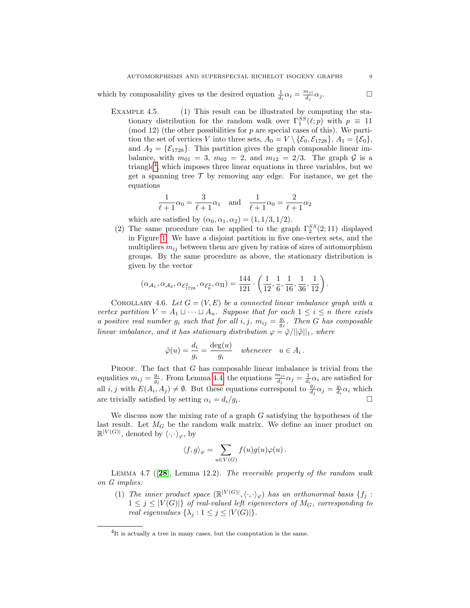which by composability gives us the desired equation  $\frac{1}{d_i} \alpha_i = \frac{m_{ji}}{d_j}$  $\frac{n_{ji}}{d_j}\alpha_j$ .

EXAMPLE 4.5. (1) This result can be illustrated by computing the stationary distribution for the random walk over  $\Gamma_1^{SS}(\ell;p)$  with  $p \equiv 11$  $\pmod{12}$  (the other possibilities for p are special cases of this). We partition the set of vertices V into three sets,  $A_0 = V \setminus {\mathcal{E}_0, \mathcal{E}_{1728}}, A_1 = {\mathcal{E}_0},$ and  $A_2 = \{ \mathcal{E}_{1728} \}.$  This partition gives the graph composable linear imbalance, with  $m_{01} = 3$ ,  $m_{02} = 2$ , and  $m_{12} = 2/3$ . The graph G is a triangle<sup>[4](#page-8-0)</sup>, which imposes three linear equations in three variables, but we get a spanning tree  $\mathcal T$  by removing any edge. For instance, we get the equations

$$
\frac{1}{\ell+1}\alpha_0 = \frac{3}{\ell+1}\alpha_1 \quad \text{and} \quad \frac{1}{\ell+1}\alpha_0 = \frac{2}{\ell+1}\alpha_2
$$

which are satisfied by  $(\alpha_0, \alpha_1, \alpha_2) = (1, 1/3, 1/2)$ .

(2) The same procedure can be applied to the graph  $\Gamma_2^{SS}(2;11)$  displayed in Figure [1.](#page-5-1) We have a disjoint partition in five one-vertex sets, and the multipliers  $m_{ij}$  between them are given by ratios of sizes of automorphism groups. By the same procedure as above, the stationary distribution is given by the vector

$$
(\alpha_{\mathcal{A}_1}, \alpha_{\mathcal{A}_2}, \alpha_{\mathcal{E}^2_{1728}}, \alpha_{\mathcal{E}^2_0}, \alpha_{\Pi}) = \frac{144}{121} \cdot \left(\frac{1}{12}, \frac{1}{6}, \frac{1}{16}, \frac{1}{36}, \frac{1}{12}\right).
$$

<span id="page-8-1"></span>COROLLARY 4.6. Let  $G = (V, E)$  be a connected linear imbalance graph with a vertex partition  $V = A_1 \sqcup \cdots \sqcup A_n$ . Suppose that for each  $1 \leq i \leq n$  there exists a positive real number  $g_i$  such that for all  $i, j, m_{ij} = \frac{g_i}{g_j}$ . Then G has composable linear imbalance, and it has stationary distribution  $\varphi = \tilde{\varphi}/||\tilde{\varphi}||_1$ , where

$$
\tilde{\varphi}(u) = \frac{d_i}{g_i} = \frac{\deg(u)}{g_i} \quad \text{whenever} \quad u \in A_i \, .
$$

**PROOF.** The fact that  $G$  has composable linear imbalance is trivial from the equalities  $m_{ij} = \frac{g_i}{g_j}$ . From Lemma [4.4,](#page-7-1) the equations  $\frac{m_{ji}}{d_j}\alpha_j = \frac{1}{d_i}\alpha_i$  are satisfied for all *i*, *j* with  $E(A_i, A_j) \neq \emptyset$ . But these equations correspond to  $\frac{g_j}{d_j} \alpha_j = \frac{g_i}{d_i} \alpha_i$  which are trivially satisfied by setting  $\alpha_i = d_i/g_i$ . .

We discuss now the mixing rate of a graph  $G$  satisfying the hypotheses of the last result. Let  $M_G$  be the random walk matrix. We define an inner product on  $\mathbb{R}^{|V(G)|}$ , denoted by  $\langle \cdot, \cdot \rangle_{\varphi}$ , by

$$
\langle f, g \rangle_{\varphi} = \sum_{u \in V(G)} f(u)g(u)\varphi(u).
$$

LEMMA 4.7 ( $[28]$  $[28]$  $[28]$ , Lemma 12.2). The reversible property of the random walk on G implies:

(1) The inner product space  $(\mathbb{R}^{|V(G)|}, \langle \cdot, \cdot \rangle_{\varphi})$  has an orthonormal basis  $\{f_j :$  $1 \leq j \leq |V(G)|$  of real-valued left eigenvectors of  $M_G$ , corresponding to real eigenvalues  $\{\lambda_i : 1 \leq j \leq |V(G)|\}.$ 

<span id="page-8-0"></span><sup>&</sup>lt;sup>4</sup>It is actually a tree in many cases, but the computation is the same.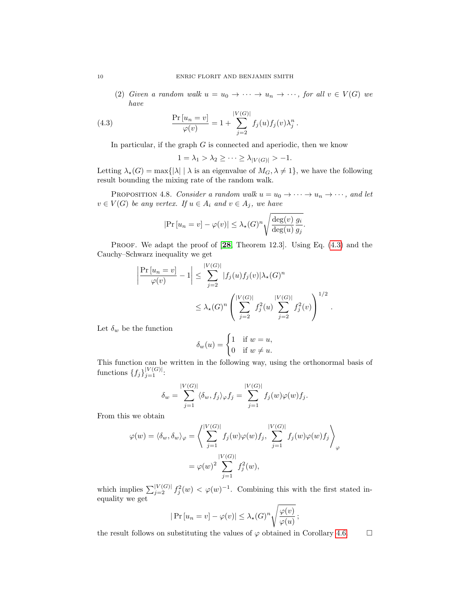(2) Given a random walk  $u = u_0 \to \cdots \to u_n \to \cdots$ , for all  $v \in V(G)$  we have

(4.3) 
$$
\frac{\Pr[u_n = v]}{\varphi(v)} = 1 + \sum_{j=2}^{|V(G)|} f_j(u) f_j(v) \lambda_j^n.
$$

In particular, if the graph  $G$  is connected and aperiodic, then we know

<span id="page-9-0"></span>
$$
1 = \lambda_1 > \lambda_2 \geq \cdots \geq \lambda_{|V(G)|} > -1.
$$

Letting  $\lambda_{\star}(G) = \max\{|\lambda| \mid \lambda \text{ is an eigenvalue of } M_G, \lambda \neq 1\}$ , we have the following result bounding the mixing rate of the random walk.

<span id="page-9-1"></span>PROPOSITION 4.8. Consider a random walk  $u = u_0 \rightarrow \cdots \rightarrow u_n \rightarrow \cdots$ , and let  $v \in V(G)$  be any vertex. If  $u \in A_i$  and  $v \in A_j$ , we have

$$
|\Pr[u_n = v] - \varphi(v)| \leq \lambda_{\star}(G)^n \sqrt{\frac{\deg(v) g_i}{\deg(u) g_j}}.
$$

PROOF. We adapt the proof of [[28](#page-23-11), Theorem 12.3]. Using Eq. [\(4.3\)](#page-9-0) and the Cauchy–Schwarz inequality we get

$$
\left|\frac{\Pr\left[u_n=v\right]}{\varphi(v)}-1\right| \leq \sum_{j=2}^{|V(G)|} |f_j(u)f_j(v)| \lambda_\star(G)^n
$$

$$
\leq \lambda_\star(G)^n \left(\sum_{j=2}^{|V(G)|} f_j^2(u) \sum_{j=2}^{|V(G)|} f_j^2(v)\right)^{1/2}
$$

.

Let  $\delta_w$  be the function

$$
\delta_w(u) = \begin{cases} 1 & \text{if } w = u, \\ 0 & \text{if } w \neq u. \end{cases}
$$

This function can be written in the following way, using the orthonormal basis of functions  $\{f_j\}_{j=1}^{|V(G)|}$ :

$$
\delta_w = \sum_{j=1}^{|V(G)|} \langle \delta_w, f_j \rangle_{\varphi} f_j = \sum_{j=1}^{|V(G)|} f_j(w) \varphi(w) f_j.
$$

From this we obtain

$$
\varphi(w) = \langle \delta_w, \delta_w \rangle_{\varphi} = \left\langle \sum_{j=1}^{|V(G)|} f_j(w) \varphi(w) f_j, \sum_{j=1}^{|V(G)|} f_j(w) \varphi(w) f_j \right\rangle_{\varphi}
$$

$$
= \varphi(w)^2 \sum_{j=1}^{|V(G)|} f_j^2(w),
$$

which implies  $\sum_{j=2}^{|V(G)|} f_j^2(w) < \varphi(w)^{-1}$ . Combining this with the first stated inequality we get

$$
|\Pr[u_n = v] - \varphi(v)| \leq \lambda_\star(G)^n \sqrt{\frac{\varphi(v)}{\varphi(u)}},
$$

the result follows on substituting the values of  $\varphi$  obtained in Corollary [4.6.](#page-8-1)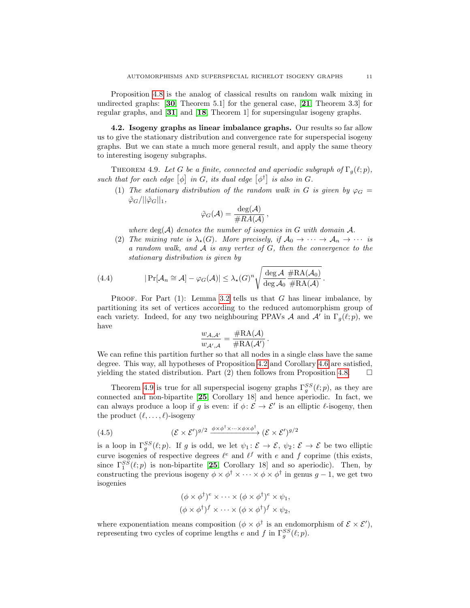Proposition [4.8](#page-9-1) is the analog of classical results on random walk mixing in undirected graphs: [[30](#page-23-12), Theorem 5.1] for the general case, [[21](#page-23-13), Theorem 3.3] for regular graphs, and [[31](#page-23-14)] and [[18](#page-23-15), Theorem 1] for supersingular isogeny graphs.

<span id="page-10-2"></span>4.2. Isogeny graphs as linear imbalance graphs. Our results so far allow us to give the stationary distribution and convergence rate for superspecial isogeny graphs. But we can state a much more general result, and apply the same theory to interesting isogeny subgraphs.

<span id="page-10-0"></span>THEOREM 4.9. Let G be a finite, connected and aperiodic subgraph of  $\Gamma_q(\ell;p)$ , such that for each edge  $[\phi]$  in G, its dual edge  $[\phi^{\dagger}]$  is also in G.

(1) The stationary distribution of the random walk in G is given by  $\varphi_G =$  $\tilde{\varphi}_G/||\tilde{\varphi}_G||_1,$ 

$$
\tilde{\varphi}_G(\mathcal{A}) = \frac{\deg(\mathcal{A})}{\# RA(\mathcal{A})},
$$

where  $deg(A)$  denotes the number of isogenies in G with domain  $A$ .

<span id="page-10-1"></span>(2) The mixing rate is  $\lambda_{\star}(G)$ . More precisely, if  $\mathcal{A}_0 \to \cdots \to \mathcal{A}_n \to \cdots$  is a random walk, and  $A$  is any vertex of  $G$ , then the convergence to the stationary distribution is given by

(4.4) 
$$
|\Pr[\mathcal{A}_n \cong \mathcal{A}] - \varphi_G(\mathcal{A})| \leq \lambda_{\star}(G)^n \sqrt{\frac{\deg \mathcal{A}}{\deg \mathcal{A}_0} \frac{\# \mathrm{RA}(\mathcal{A}_0)}{\# \mathrm{RA}(\mathcal{A})}}.
$$

PROOF. For Part  $(1)$ : Lemma [3.2](#page-4-0) tells us that G has linear imbalance, by partitioning its set of vertices according to the reduced automorphism group of each variety. Indeed, for any two neighbouring PPAVs A and A' in  $\Gamma_g(\ell;p)$ , we have

$$
\frac{w_{\mathcal{A},\mathcal{A'}}}{w_{\mathcal{A'},\mathcal{A}}} = \frac{\# \text{RA}(\mathcal{A})}{\# \text{RA}(\mathcal{A'})} \, .
$$

We can refine this partition further so that all nodes in a single class have the same degree. This way, all hypotheses of Proposition [4.2](#page-6-1) and Corollary [4.6](#page-8-1) are satisfied, yielding the stated distribution. Part (2) then follows from Proposition [4.8.](#page-9-1)  $\Box$ 

Theorem [4.9](#page-10-0) is true for all superspecial isogeny graphs  $\Gamma_g^{SS}(\ell;p)$ , as they are connected and non-bipartite [[25](#page-23-7), Corollary 18] and hence aperiodic. In fact, we can always produce a loop if g is even: if  $\phi: \mathcal{E} \to \mathcal{E}'$  is an elliptic  $\ell$ -isogeny, then the product  $(\ell, \ldots, \ell)$ -isogeny

(4.5) 
$$
(\mathcal{E} \times \mathcal{E}')^{g/2} \xrightarrow{\phi \times \phi^{\dagger} \times \cdots \times \phi \times \phi^{\dagger}} (\mathcal{E} \times \mathcal{E}')^{g/2}
$$

is a loop in  $\Gamma_g^{SS}(\ell;p)$ . If g is odd, we let  $\psi_1: \mathcal{E} \to \mathcal{E}$ ,  $\psi_2: \mathcal{E} \to \mathcal{E}$  be two elliptic curve isogenies of respective degrees  $\ell^e$  and  $\ell^f$  with e and f coprime (this exists, since  $\Gamma_1^{SS}(\ell;p)$  is non-bipartite [[25](#page-23-7), Corollary 18] and so aperiodic). Then, by constructing the previous isogeny  $\phi \times \phi^{\dagger} \times \cdots \times \phi \times \phi^{\dagger}$  in genus  $g-1$ , we get two isogenies

$$
(\phi \times \phi^{\dagger})^e \times \cdots \times (\phi \times \phi^{\dagger})^e \times \psi_1,
$$
  

$$
(\phi \times \phi^{\dagger})^f \times \cdots \times (\phi \times \phi^{\dagger})^f \times \psi_2,
$$

where exponentiation means composition  $(\phi \times \phi^{\dagger})$  is an endomorphism of  $\mathcal{E} \times \mathcal{E}'$ , representing two cycles of coprime lengths e and f in  $\Gamma_g^{SS}(\ell;p)$ .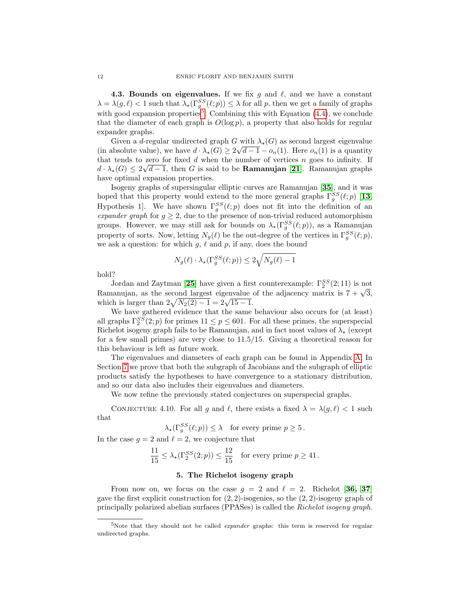<span id="page-11-3"></span>**4.3. Bounds on eigenvalues.** If we fix g and  $\ell$ , and we have a constant  $\lambda = \lambda(g, \ell) < 1$  such that  $\lambda_*(\Gamma_g^{SS}(\ell; p)) \leq \lambda$  for all p, then we get a family of graphs with good expansion properties<sup>[5](#page-11-1)</sup>. Combining this with Equation  $(4.4)$ , we conclude that the diameter of each graph is  $O(\log p)$ , a property that also holds for regular expander graphs.

Given a d-regular undirected graph G with  $\lambda_{\star}(G)$  as second largest eigenvalue (in absolute value), we have  $d \cdot \lambda_{\star}(G) \geq 2\sqrt{d-1} - o_n(1)$ . Here  $o_n(1)$  is a quantity that tends to zero for fixed d when the number of vertices n goes to infinity. If  $d \cdot \lambda_{\star}(G) \leq 2\sqrt{d-1}$ , then G is said to be **Ramanujan [[21](#page-23-13)**]. Ramanujan graphs have optimal expansion properties.

Isogeny graphs of supersingular elliptic curves are Ramanujan [[35](#page-23-16)], and it was hoped that this property would extend to the more general graphs  $\Gamma_g^{SS}(\ell;p)$  [[13](#page-22-5), Hypothesis 1]. We have shown  $\Gamma_g^{SS}(\ell;p)$  does not fit into the definition of an expander graph for  $g \geq 2$ , due to the presence of non-trivial reduced automorphism groups. However, we may still ask for bounds on  $\lambda_{\star}(\Gamma_g^{SS}(\ell;p))$ , as a Ramanujan property of sorts. Now, letting  $N_g(\ell)$  be the out-degree of the vertices in  $\Gamma_g^{SS}(\ell;p)$ , we ask a question: for which  $g, \ell$  and  $p$ , if any, does the bound

$$
N_g(\ell) \cdot \lambda_\star(\Gamma_g^{SS}(\ell;p)) \le 2\sqrt{N_g(\ell) - 1}
$$

hold?

Jordan and Zaytman [[25](#page-23-7)] have given a first counterexample:  $\Gamma_2^{SS}(2;11)$  is not Jordan and Zaytman [25] have given a first counterexample:  $\frac{1}{2}$  (2; 11) is not<br>Ramanujan, as the second largest eigenvalue of the adjacency matrix is  $7 + \sqrt{3}$ , which is larger than  $2\sqrt{N_2(2)-1} = 2\sqrt{15-1}$ .

We have gathered evidence that the same behaviour also occurs for (at least) all graphs  $\Gamma_2^{SS}(2;p)$  for primes  $11 \leq p \leq 601$ . For all these primes, the superspecial Richelot isogeny graph fails to be Ramanujan, and in fact most values of  $\lambda_{\star}$  (except for a few small primes) are very close to 11.5/15. Giving a theoretical reason for this behaviour is left as future work.

The eigenvalues and diameters of each graph can be found in Appendix [A.](#page-24-3) In Section [7](#page-18-0) we prove that both the subgraph of Jacobians and the subgraph of elliptic products satisfy the hypotheses to have convergence to a stationary distribution, and so our data also includes their eigenvalues and diameters.

We now refine the previously stated conjectures on superspecial graphs.

<span id="page-11-2"></span>CONJECTURE 4.10. For all g and  $\ell$ , there exists a fixed  $\lambda = \lambda(g, \ell) < 1$  such that

 $\lambda_\star(\Gamma_g^{SS}(\ell;p)) \leq \lambda$  for every prime  $p \geq 5$ .

In the case  $g = 2$  and  $\ell = 2$ , we conjecture that

$$
\frac{11}{15} \le \lambda_\star(\Gamma_2^{SS}(2;p)) \le \frac{12}{15} \quad \text{for every prime } p \ge 41 \,.
$$

## 5. The Richelot isogeny graph

<span id="page-11-0"></span>From now on, we focus on the case  $g = 2$  and  $\ell = 2$ . Richelot [[36,](#page-23-17) [37](#page-23-18)] gave the first explicit construction for  $(2, 2)$ -isogenies, so the  $(2, 2)$ -isogeny graph of principally polarized abelian surfaces (PPASes) is called the Richelot isogeny graph.

<span id="page-11-1"></span><sup>&</sup>lt;sup>5</sup>Note that they should not be called *expander* graphs: this term is reserved for regular undirected graphs.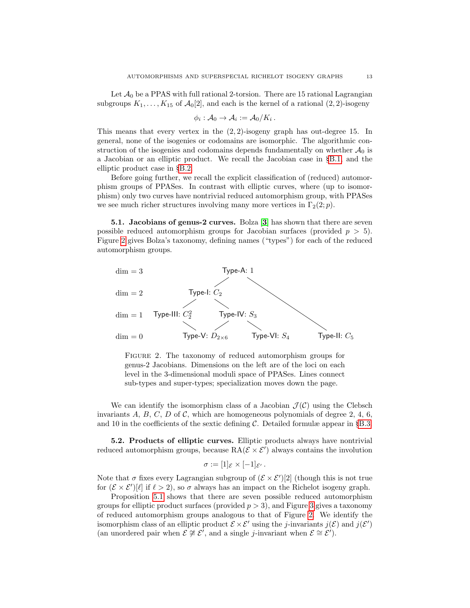Let  $\mathcal{A}_0$  be a PPAS with full rational 2-torsion. There are 15 rational Lagrangian subgroups  $K_1, \ldots, K_{15}$  of  $\mathcal{A}_0[2]$ , and each is the kernel of a rational  $(2, 2)$ -isogeny

$$
\phi_i: \mathcal{A}_0 \to \mathcal{A}_i := \mathcal{A}_0/K_i.
$$

This means that every vertex in the  $(2, 2)$ -isogeny graph has out-degree 15. In general, none of the isogenies or codomains are isomorphic. The algorithmic construction of the isogenies and codomains depends fundamentally on whether  $A_0$  is a Jacobian or an elliptic product. We recall the Jacobian case in §[B.1,](#page-26-0) and the elliptic product case in §[B.2.](#page-27-0)

Before going further, we recall the explicit classification of (reduced) automorphism groups of PPASes. In contrast with elliptic curves, where (up to isomorphism) only two curves have nontrivial reduced automorphism group, with PPASes we see much richer structures involving many more vertices in  $\Gamma_2(2; p)$ .

5.1. Jacobians of genus-2 curves. Bolza [[3](#page-22-7)] has shown that there are seven possible reduced automorphism groups for Jacobian surfaces (provided  $p > 5$ ). Figure [2](#page-12-0) gives Bolza's taxonomy, defining names ("types") for each of the reduced automorphism groups.

<span id="page-12-0"></span>

FIGURE 2. The taxonomy of reduced automorphism groups for genus-2 Jacobians. Dimensions on the left are of the loci on each level in the 3-dimensional moduli space of PPASes. Lines connect sub-types and super-types; specialization moves down the page.

We can identify the isomorphism class of a Jacobian  $\mathcal{J}(\mathcal{C})$  using the Clebsch invariants  $A, B, C, D$  of  $C$ , which are homogeneous polynomials of degree 2, 4, 6, and 10 in the coefficients of the sextic defining  $\mathcal{C}$ . Detailed formulæ appear in §[B.3.](#page-28-0)

5.2. Products of elliptic curves. Elliptic products always have nontrivial reduced automorphism groups, because  $RA(E \times E')$  always contains the involution

$$
\sigma := [1]_{\mathcal{E}} \times [-1]_{\mathcal{E}'}.
$$

Note that  $\sigma$  fixes every Lagrangian subgroup of  $(\mathcal{E} \times \mathcal{E}')[2]$  (though this is not true for  $(\mathcal{E} \times \mathcal{E}')[\ell]$  if  $\ell > 2$ , so  $\sigma$  always has an impact on the Richelot isogeny graph.

Proposition [5.1](#page-13-0) shows that there are seven possible reduced automorphism groups for elliptic product surfaces (provided  $p > 3$  $p > 3$ ), and Figure 3 gives a taxonomy of reduced automorphism groups analogous to that of Figure [2.](#page-12-0) We identify the isomorphism class of an elliptic product  $\mathcal{E} \times \mathcal{E}'$  using the j-invariants  $j(\mathcal{E})$  and  $j(\mathcal{E}')$ (an unordered pair when  $\mathcal{E} \not\cong \mathcal{E}'$ , and a single j-invariant when  $\mathcal{E} \cong \mathcal{E}'$ ).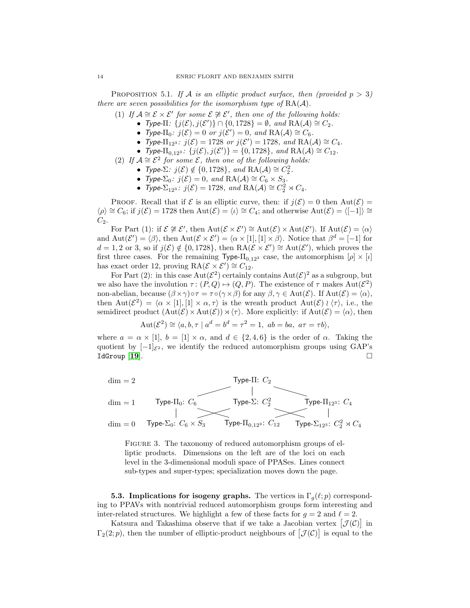<span id="page-13-0"></span>PROPOSITION 5.1. If A is an elliptic product surface, then (provided  $p > 3$ ) there are seven possibilities for the isomorphism type of  $RA(\mathcal{A})$ .

- (1) If  $A \cong \mathcal{E} \times \mathcal{E}'$  for some  $\mathcal{E} \not\cong \mathcal{E}'$ , then one of the following holds:
	- Type- $\Pi$ :  $\{j(\mathcal{E}), j(\mathcal{E}')\} \cap \{0, 1728\} = \emptyset$ , and  $\text{RA}(\mathcal{A}) \cong C_2$ .
	- Type- $\Pi_0$ :  $j(\mathcal{E}) = 0$  or  $j(\mathcal{E}') = 0$ , and  $\text{RA}(\mathcal{A}) \cong C_6$ .
	- Type- $\Pi_{12^3}$ :  $j(\mathcal{E}) = 1728$  or  $j(\mathcal{E}') = 1728$ , and  $RA(\mathcal{A}) \cong C_4$ .
	- Type- $\Pi_{0,12^3}$ :  $\{j(\mathcal{E}), j(\mathcal{E}')\} = \{0, 1728\}$ , and  $\text{RA}(\mathcal{A}) \cong C_{12}$ .
- (2) If  $A \cong \mathcal{E}^2$  for some  $\mathcal{E}$ , then one of the following holds:
	- Type- $\Sigma$ :  $j(\mathcal{E}) \notin \{0, 1728\}$ , and  $\text{RA}(\mathcal{A}) \cong C_2^2$ .
	- Type- $\Sigma_0$ :  $j(\mathcal{E}) = 0$ , and  $\operatorname{RA}(\mathcal{A}) \cong C_6 \times S_3$ .
	- Type- $\Sigma_{12^3}$ :  $j(\mathcal{E}) = 1728$ , and  $\text{RA}(\mathcal{A}) \cong C_2^2 \rtimes C_4$ .

PROOF. Recall that if  $\mathcal E$  is an elliptic curve, then: if  $j(\mathcal E)=0$  then  $\mathrm{Aut}(\mathcal E)=$  $\langle \rho \rangle \cong C_6$ ; if  $j(\mathcal{E}) = 1728$  then Aut $(\mathcal{E}) = \langle \iota \rangle \cong C_4$ ; and otherwise Aut $(\mathcal{E}) = \langle [-1] \rangle \cong$  $C_2$ .

For Part (1): if  $\mathcal{E} \not\cong \mathcal{E}'$ , then  $\text{Aut}(\mathcal{E} \times \mathcal{E}') \cong \text{Aut}(\mathcal{E}) \times \text{Aut}(\mathcal{E}')$ . If  $\text{Aut}(\mathcal{E}) = \langle \alpha \rangle$ and  $Aut(\mathcal{E}') = \langle \beta \rangle$ , then  $Aut(\mathcal{E} \times \mathcal{E}') = \langle \alpha \times [1], [1] \times \beta \rangle$ . Notice that  $\beta^d = [-1]$  for  $d = 1, 2 \text{ or } 3$ , so if  $j(\mathcal{E}) \notin \{0, 1728\}$ , then  $\text{RA}(\mathcal{E} \times \mathcal{E}') \cong \text{Aut}(\mathcal{E}')$ , which proves the first three cases. For the remaining Type- $\Pi_{0,12^3}$  case, the automorphism  $[\rho] \times [l]$ has exact order 12, proving  $\operatorname{RA}(\mathcal{E} \times \mathcal{E}') \cong C_{12}$ .

For Part (2): in this case  $Aut(\mathcal{E}^2)$  certainly contains  $Aut(\mathcal{E})^2$  as a subgroup, but we also have the involution  $\tau: (P,Q) \mapsto (Q,P)$ . The existence of  $\tau$  makes  $Aut(\mathcal{E}^2)$ non-abelian, because  $(\beta \times \gamma) \circ \tau = \tau \circ (\gamma \times \beta)$  for any  $\beta, \gamma \in \text{Aut}(\mathcal{E})$ . If  $\text{Aut}(\mathcal{E}) = \langle \alpha \rangle$ , then  $Aut(\mathcal{E}^2) = \langle \alpha \times [1], [1] \times \alpha, \tau \rangle$  is the wreath product  $Aut(\mathcal{E}) \wr \langle \tau \rangle$ , i.e., the semidirect product  $(\text{Aut}(\mathcal{E}) \times \text{Aut}(\mathcal{E})) \rtimes \langle \tau \rangle$ . More explicitly: if  $\text{Aut}(\mathcal{E}) = \langle \alpha \rangle$ , then

$$
Aut(\mathcal{E}^2) \cong \langle a, b, \tau \mid a^d = b^d = \tau^2 = 1, ab = ba, a\tau = \tau b \rangle,
$$

where  $a = \alpha \times [1], b = [1] \times \alpha$ , and  $d \in \{2, 4, 6\}$  is the order of  $\alpha$ . Taking the quotient by  $[-1]_{\mathcal{E}^2}$ , we identify the reduced automorphism groups using GAP's  $IdGroup [19].$  $IdGroup [19].$  $IdGroup [19].$ 

<span id="page-13-1"></span>

FIGURE 3. The taxonomy of reduced automorphism groups of elliptic products. Dimensions on the left are of the loci on each level in the 3-dimensional moduli space of PPASes. Lines connect sub-types and super-types; specialization moves down the page.

**5.3.** Implications for isogeny graphs. The vertices in  $\Gamma_q(\ell;p)$  corresponding to PPAVs with nontrivial reduced automorphism groups form interesting and inter-related structures. We highlight a few of these facts for  $g = 2$  and  $\ell = 2$ .

Katsura and Takashima observe that if we take a Jacobian vertex  $[\mathcal{J}(\mathcal{C})]$  in  $\Gamma_2(2; p)$ , then the number of elliptic-product neighbours of  $[\mathcal{J}(\mathcal{C})]$  is equal to the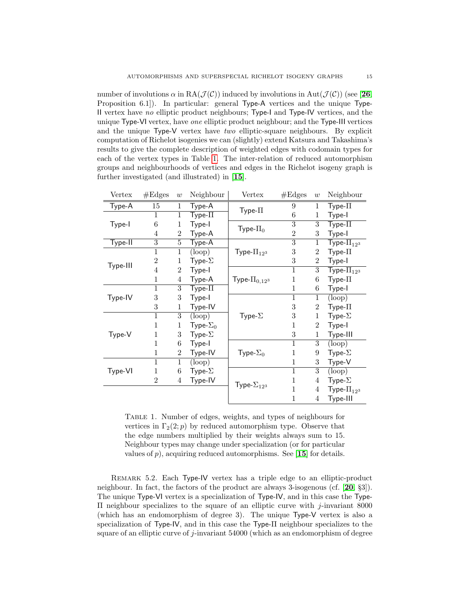number of involutions  $\alpha$  in RA( $\mathcal{J}(\mathcal{C})$ ) induced by involutions in Aut( $\mathcal{J}(\mathcal{C})$ ) (see [[26](#page-23-8), Proposition 6.1]). In particular: general Type-A vertices and the unique Type-II vertex have no elliptic product neighbours; Type-I and Type-IV vertices, and the unique Type-VI vertex, have one elliptic product neighbour; and the Type-III vertices and the unique Type-V vertex have two elliptic-square neighbours. By explicit computation of Richelot isogenies we can (slightly) extend Katsura and Takashima's results to give the complete description of weighted edges with codomain types for each of the vertex types in Table [1.](#page-14-0) The inter-relation of reduced automorphism groups and neighbourhoods of vertices and edges in the Richelot isogeny graph is further investigated (and illustrated) in [[15](#page-23-20)].

<span id="page-14-0"></span>

| Vertex   | #Edges         | w               | Neighbour                  | Vertex                | #Edges         | w                | Neighbour                                          |
|----------|----------------|-----------------|----------------------------|-----------------------|----------------|------------------|----------------------------------------------------|
| Type-A   | 15             | $\mathbf{1}$    | Type-A                     |                       | 9              | $\mathbf{1}$     | ${\sf Type}\text{-}\Pi$                            |
|          | $\mathbf{1}$   | $\mathbf{1}$    | $Type-II$                  | $Type-II$             | 6              | $\mathbf 1$      | Type-I                                             |
| Type-I   | 6              | 1               | Type-I                     | Type- $\Pi_0$         | 3              | 3                | $Type-II$                                          |
|          | 4              | $\overline{2}$  | Type-A                     |                       | $\overline{2}$ | 3                | Type-I                                             |
| Type-II  | 3              | $\overline{5}$  | Type-A                     |                       | $\overline{3}$ | $\mathbf 1$      | Type- $\Pi_{12^3}$                                 |
|          | $\mathbf{1}$   | $\overline{1}$  | (loop)                     | Type- $\Pi_{12^3}$    | 3              | $\boldsymbol{2}$ | $Type-II$                                          |
| Type-III | $\mathbf{2}$   | 1               | Type- $\Sigma$             |                       | 3              | $\overline{2}$   | Type-I                                             |
|          | 4              | $\overline{2}$  | Type-I                     |                       | $\mathbf 1$    | 3                | $\overline{\mathsf{T}}\mathsf{y}$ pe- $\Pi_{12^3}$ |
|          | 1              | 4               | Type-A                     | Type- $\Pi_{0,12^3}$  | 1              | 6                | $Type-II$                                          |
|          | $\overline{1}$ | $\overline{3}$  | Type- $\overline{\Pi}$     |                       | $\mathbf 1$    | 6                | Type-I                                             |
| Type-IV  | 3              | 3               | Type-I                     |                       | $\overline{1}$ | $\mathbf 1$      | $\left( \text{loop} \right)$                       |
|          | 3              | $\mathbf 1$     | Type-IV                    |                       | $\sqrt{3}$     | $\overline{2}$   | $Type-II$                                          |
|          | 1              | 3               | $\left(\text{loop}\right)$ | Type- $\Sigma$        | 3              | 1                | Type- $\Sigma$                                     |
|          | $\mathbf{1}$   | 1               | Type- $\Sigma_0$           |                       | 1              | $\overline{2}$   | Type-I                                             |
| Type-V   | 1              | 3               | Type- $\Sigma$             |                       | 3              | $\mathbf 1$      | Type-III                                           |
|          | 1              | 6               | Type-I                     |                       | $\overline{1}$ | $\overline{3}$   | $\left( \text{loop} \right)$                       |
|          | $\mathbf{1}$   | $\overline{2}$  | Type-IV                    | Type- $\Sigma_0$      | 1              | 9                | Type- $\Sigma$                                     |
|          | $\mathbf{1}$   | $\mathbf{1}$    | (loop)                     |                       | $\mathbf 1$    | 3                | Type-V                                             |
| Type-VI  | 1              | $6\phantom{.}6$ | Type- $\Sigma$             |                       | $\overline{1}$ | $\overline{3}$   | $\left(\text{loop}\right)$                         |
|          | $\overline{2}$ | 4               | Type-IV                    | Type- $\Sigma_{12^3}$ | 1              | 4                | Type- $\Sigma$                                     |
|          |                |                 |                            |                       | 1              | 4                | Type- $\Pi_{12^3}$                                 |
|          |                |                 |                            |                       | 1              | $\overline{4}$   | Type-III                                           |

Table 1. Number of edges, weights, and types of neighbours for vertices in  $\Gamma_2(2; p)$  by reduced automorphism type. Observe that the edge numbers multiplied by their weights always sum to 15. Neighbour types may change under specialization (or for particular values of  $p$ ), acquiring reduced automorphisms. See [[15](#page-23-20)] for details.

Remark 5.2. Each Type-IV vertex has a triple edge to an elliptic-product neighbour. In fact, the factors of the product are always 3-isogenous (cf. [[20](#page-23-21), §3]). The unique Type-VI vertex is a specialization of Type-IV, and in this case the Type-Π neighbour specializes to the square of an elliptic curve with j-invariant 8000 (which has an endomorphism of degree 3). The unique Type-V vertex is also a specialization of Type-IV, and in this case the Type-Π neighbour specializes to the square of an elliptic curve of j-invariant 54000 (which as an endomorphism of degree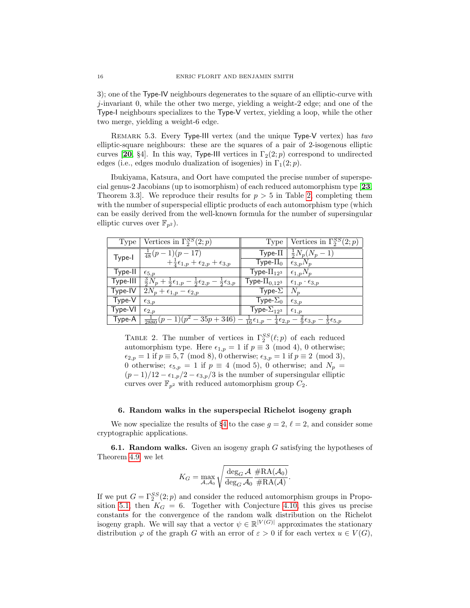3); one of the Type-IV neighbours degenerates to the square of an elliptic-curve with  $j$ -invariant 0, while the other two merge, yielding a weight-2 edge; and one of the Type-I neighbours specializes to the Type-V vertex, yielding a loop, while the other two merge, yielding a weight-6 edge.

REMARK 5.3. Every Type-III vertex (and the unique Type-V vertex) has two elliptic-square neighbours: these are the squares of a pair of 2-isogenous elliptic curves [[20](#page-23-21), §4]. In this way, Type-III vertices in  $\Gamma_2(2;p)$  correspond to undirected edges (i.e., edges modulo dualization of isogenies) in  $\Gamma_1(2; p)$ .

Ibukiyama, Katsura, and Oort have computed the precise number of superspecial genus-2 Jacobians (up to isomorphism) of each reduced automorphism type [[23](#page-23-22), Theorem 3.3. We reproduce their results for  $p > 5$  in Table [2,](#page-15-1) completing them with the number of superspecial elliptic products of each automorphism type (which can be easily derived from the well-known formula for the number of supersingular elliptic curves over  $\mathbb{F}_{p^2}$ ).

<span id="page-15-1"></span>

| Type     | Vertices in $\overline{\Gamma_2^{SS}(2;p)}$                                                               | Type                                                          | Vertices in $\Gamma_2^{SS}(2;p)$                             |
|----------|-----------------------------------------------------------------------------------------------------------|---------------------------------------------------------------|--------------------------------------------------------------|
| Type-I   | $\frac{1}{48}(p-1)(p-17)$                                                                                 | ${\sf Type}\text{-}\Pi$                                       | $\frac{1}{2}N_p(N_p-1)$                                      |
|          | $+\frac{1}{4}\epsilon_{1,p}+\epsilon_{2,p}+\epsilon_{3,p}$                                                | Type- $\Pi_0$                                                 | $\epsilon_{3,p}N_p$                                          |
| Type-II  | $\epsilon_{5,p}$                                                                                          | Type- $\Pi_{12^3}$                                            | $\epsilon_{1,p}N_p$                                          |
| Type-III | $\frac{3}{2}N_p + \frac{1}{2}\epsilon_{1,p} - \frac{1}{2}\epsilon_{2,p} -$<br>$\frac{1}{2}\epsilon_{3,p}$ | Type- $\Pi_{0,12^3}$                                          | $\epsilon_{1,p} \cdot \epsilon_{3,p}$                        |
| Type-IV  | $2N_p+\epsilon_{1,p}-\epsilon_{2,p}$                                                                      | Type- $\Sigma$                                                | $N_p$                                                        |
| Type-V   | $\epsilon_{3,p}$                                                                                          | Type- $\Sigma_0$                                              | $\epsilon_{3,p}$                                             |
| Type-VI  | $\epsilon_{2,p}$                                                                                          | Type- $\Sigma_{12^3}$                                         | $\epsilon_{1,p}$                                             |
| Type-A   | $(p^2-35p+346)$ —<br>$\frac{1}{2880}(p)$                                                                  | $\frac{1}{16}\epsilon_{1,p}$ –<br>$rac{1}{4}\epsilon_{2,p}$ – | $\frac{2}{9} \epsilon_{3,p}$<br>$\frac{1}{5} \epsilon_{5,p}$ |

TABLE 2. The number of vertices in  $\Gamma_2^{SS}(\ell;p)$  of each reduced automorphism type. Here  $\epsilon_{1,p} = 1$  if  $p \equiv 3 \pmod{4}$ , 0 otherwise;  $\epsilon_{2,p} = 1$  if  $p \equiv 5, 7 \pmod{8}$ , 0 otherwise;  $\epsilon_{3,p} = 1$  if  $p \equiv 2 \pmod{3}$ , 0 otherwise;  $\epsilon_{5,p} = 1$  if  $p \equiv 4 \pmod{5}$ , 0 otherwise; and  $N_p =$  $(p-1)/12 - \epsilon_{1,p}/2 - \epsilon_{3,p}/3$  is the number of supersingular elliptic curves over  $\mathbb{F}_{p^2}$  with reduced automorphism group  $C_2$ .

## 6. Random walks in the superspecial Richelot isogeny graph

<span id="page-15-0"></span>We now specialize the results of §[4](#page-5-0) to the case  $g = 2, \ell = 2$ , and consider some cryptographic applications.

**6.1. Random walks.** Given an isogeny graph  $G$  satisfying the hypotheses of Theorem [4.9,](#page-10-0) we let

$$
K_G = \max_{\mathcal{A}, \mathcal{A}_0} \sqrt{\frac{\deg_G \mathcal{A}}{\deg_G \mathcal{A}_0} \frac{\# \text{RA}(\mathcal{A}_0)}{\# \text{RA}(\mathcal{A})}}.
$$

If we put  $G = \Gamma_2^{SS}(2; p)$  and consider the reduced automorphism groups in Propo-sition [5.1,](#page-13-0) then  $K_G = 6$ . Together with Conjecture [4.10,](#page-11-2) this gives us precise constants for the convergence of the random walk distribution on the Richelot isogeny graph. We will say that a vector  $\psi \in \mathbb{R}^{|V(G)|}$  approximates the stationary distribution  $\varphi$  of the graph G with an error of  $\varepsilon > 0$  if for each vertex  $u \in V(G)$ ,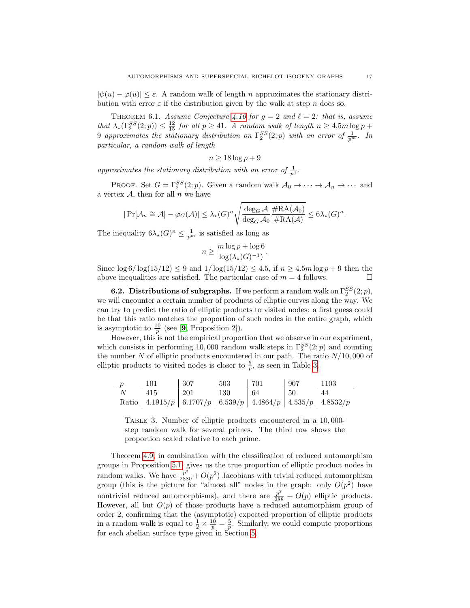$|\psi(u) - \varphi(u)| \leq \varepsilon$ . A random walk of length n approximates the stationary distribution with error  $\varepsilon$  if the distribution given by the walk at step n does so.

<span id="page-16-1"></span>THEOREM 6.1. Assume Conjecture [4.10](#page-11-2) for  $g = 2$  and  $\ell = 2$ : that is, assume that  $\lambda_{\star}(\Gamma_2^{SS}(2;p)) \leq \frac{12}{15}$  for all  $p \geq 41$ . A random walk of length  $n \geq 4.5m \log p +$ 9 approximates the stationary distribution on  $\Gamma_2^{SS}(2;p)$  with an error of  $\frac{1}{p^m}$ . In particular, a random walk of length

$$
n \ge 18 \log p + 9
$$

approximates the stationary distribution with an error of  $\frac{1}{p^4}$ .

PROOF. Set  $G = \Gamma_2^{SS}(2, p)$ . Given a random walk  $\mathcal{A}_0 \to \cdots \to \mathcal{A}_n \to \cdots$  and a vertex  $A$ , then for all  $n$  we have

$$
|\Pr[\mathcal{A}_n \cong \mathcal{A}] - \varphi_G(\mathcal{A})| \leq \lambda_{\star}(G)^n \sqrt{\frac{\deg_G \mathcal{A}}{\deg_G \mathcal{A}_0} \frac{\# \text{RA}(\mathcal{A}_0)}{\# \text{RA}(\mathcal{A})}} \leq 6 \lambda_{\star}(G)^n.
$$

The inequality  $6\lambda_{\star}(G)^n \leq \frac{1}{p^m}$  is satisfied as long as

$$
n \ge \frac{m \log p + \log 6}{\log(\lambda_{\star}(G)^{-1})}.
$$

Since  $\log 6 / \log(15/12) \leq 9$  and  $1 / \log(15/12) \leq 4.5$ , if  $n \geq 4.5m \log p + 9$  then the above inequalities are satisfied. The particular case of  $m = 4$  follows.

**6.2.** Distributions of subgraphs. If we perform a random walk on  $\Gamma_2^{SS}(2;p)$ , we will encounter a certain number of products of elliptic curves along the way. We can try to predict the ratio of elliptic products to visited nodes: a first guess could be that this ratio matches the proportion of such nodes in the entire graph, which is asymptotic to  $\frac{10}{p}$  (see [[9](#page-22-4), Proposition 2]).

However, this is not the empirical proportion that we observe in our experiment, which consists in performing 10,000 random walk steps in  $\Gamma_2^{SS}(2;p)$  and counting the number  $N$  of elliptic products encountered in our path. The ratio  $N/10,000$  of elliptic products to visited nodes is closer to  $\frac{5}{p}$ , as seen in Table [3.](#page-16-0)

<span id="page-16-0"></span>

| $\boldsymbol{p}$ | 101                                                                   | 307 | 503 | 701  | -907 | $\pm 1103$ |
|------------------|-----------------------------------------------------------------------|-----|-----|------|------|------------|
|                  | 415                                                                   | 201 | 130 | - 64 | -50  | 44         |
|                  | Ratio   4.1915/p   6.1707/p   6.539/p   4.4864/p   4.535/p   4.8532/p |     |     |      |      |            |

Table 3. Number of elliptic products encountered in a 10, 000 step random walk for several primes. The third row shows the proportion scaled relative to each prime.

Theorem [4.9,](#page-10-0) in combination with the classification of reduced automorphism groups in Proposition [5.1,](#page-13-0) gives us the true proportion of elliptic product nodes in random walks. We have  $\frac{p^3}{2880} + O(p^2)$  Jacobians with trivial reduced automorphism group (this is the picture for "almost all" nodes in the graph: only  $O(p^2)$  have nontrivial reduced automorphisms), and there are  $\frac{p^2}{288} + O(p)$  elliptic products. However, all but  $O(p)$  of those products have a reduced automorphism group of order 2, confirming that the (asymptotic) expected proportion of elliptic products in a random walk is equal to  $\frac{1}{2} \times \frac{10}{p} = \frac{5}{p}$ . Similarly, we could compute proportions for each abelian surface type given in Section [5.](#page-11-0)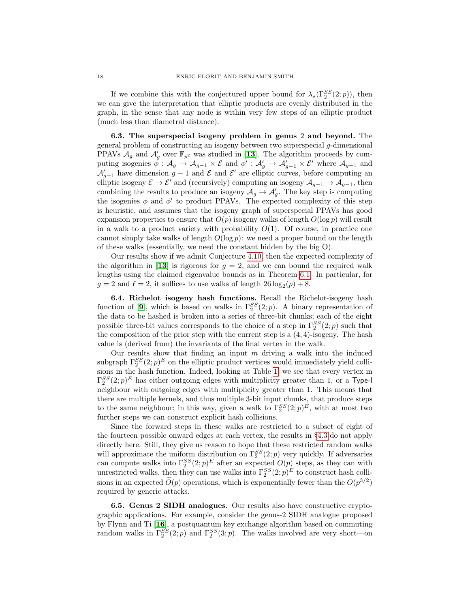If we combine this with the conjectured upper bound for  $\lambda_{\star}(\Gamma_2^{SS}(2;p))$ , then we can give the interpretation that elliptic products are evenly distributed in the graph, in the sense that any node is within very few steps of an elliptic product (much less than diametral distance).

6.3. The superspecial isogeny problem in genus 2 and beyond. The general problem of constructing an isogeny between two superspecial g-dimensional PPAVs  $\mathcal{A}_g$  and  $\mathcal{A}'_g$  over  $\mathbb{F}_{p^2}$  was studied in [[13](#page-22-5)]. The algorithm proceeds by computing isogenies  $\phi: \mathcal{A}_g \to \mathcal{A}_{g-1} \times \mathcal{E}$  and  $\phi': \mathcal{A}'_g \to \mathcal{A}'_{g-1} \times \mathcal{E}'$  where  $\mathcal{A}_{g-1}$  and  $\mathcal{A}'_{g-1}$  have dimension  $g-1$  and  $\mathcal E$  and  $\mathcal E'$  are elliptic curves, before computing an elliptic isogeny  $\mathcal{E} \to \mathcal{E}'$  and (recursively) computing an isogeny  $\mathcal{A}_{g-1} \to \mathcal{A}_{g-1}$ , then combining the results to produce an isogeny  $\mathcal{A}_g \to \mathcal{A}'_g$ . The key step is computing the isogenies  $\phi$  and  $\phi'$  to product PPAVs. The expected complexity of this step is heuristic, and assumes that the isogeny graph of superspecial PPAVs has good expansion properties to ensure that  $O(p)$  isogeny walks of length  $O(\log p)$  will result in a walk to a product variety with probability  $O(1)$ . Of course, in practice one cannot simply take walks of length  $O(\log p)$ : we need a proper bound on the length of these walks (essentially, we need the constant hidden by the big O).

Our results show if we admit Conjecture [4.10,](#page-11-2) then the expected complexity of the algorithm in [[13](#page-22-5)] is rigorous for  $g = 2$ , and we can bound the required walk lengths using the claimed eigenvalue bounds as in Theorem [6.1.](#page-16-1) In particular, for  $g = 2$  and  $\ell = 2$ , it suffices to use walks of length  $26 \log_2(p) + 8$ .

6.4. Richelot isogeny hash functions. Recall the Richelot-isogeny hash function of [[9](#page-22-4)], which is based on walks in  $\Gamma_2^{SS}(2;p)$ . A binary representation of the data to be hashed is broken into a series of three-bit chunks; each of the eight possible three-bit values corresponds to the choice of a step in  $\Gamma_2^{SS}(2;p)$  such that the composition of the prior step with the current step is a  $(4, 4)$ -isogeny. The hash value is (derived from) the invariants of the final vertex in the walk.

Our results show that finding an input  $m$  driving a walk into the induced subgraph  $\Gamma_2^{SS}(2;p)^E$  on the elliptic product vertices would immediately yield collisions in the hash function. Indeed, looking at Table [1,](#page-14-0) we see that every vertex in  $\Gamma_2^{SS}(2;p)^E$  has either outgoing edges with multiplicity greater than 1, or a Type-I neighbour with outgoing edges with multiplicity greater than 1. This means that there are multiple kernels, and thus multiple 3-bit input chunks, that produce steps to the same neighbour; in this way, given a walk to  $\Gamma_2^{SS}(2;p)^E$ , with at most two further steps we can construct explicit hash collisions.

Since the forward steps in these walks are restricted to a subset of eight of the fourteen possible onward edges at each vertex, the results in §[4.3](#page-11-3) do not apply directly here. Still, they give us reason to hope that these restricted random walks will approximate the uniform distribution on  $\Gamma_2^{SS}(2;p)$  very quickly. If adversaries can compute walks into  $\Gamma_2^{SS}(2;p)^E$  after an expected  $O(p)$  steps, as they can with unrestricted walks, then they can use walks into  $\Gamma_2^{SS}(2;p)^E$  to construct hash collisions in an expected  $\tilde{O}(p)$  operations, which is exponentially fewer than the  $O(p^{3/2})$ required by generic attacks.

6.5. Genus 2 SIDH analogues. Our results also have constructive cryptographic applications. For example, consider the genus-2 SIDH analogue proposed by Flynn and Ti [[16](#page-23-6)], a postquantum key exchange algorithm based on commuting random walks in  $\Gamma_2^{SS}(2;p)$  and  $\Gamma_2^{SS}(3;p)$ . The walks involved are very short—on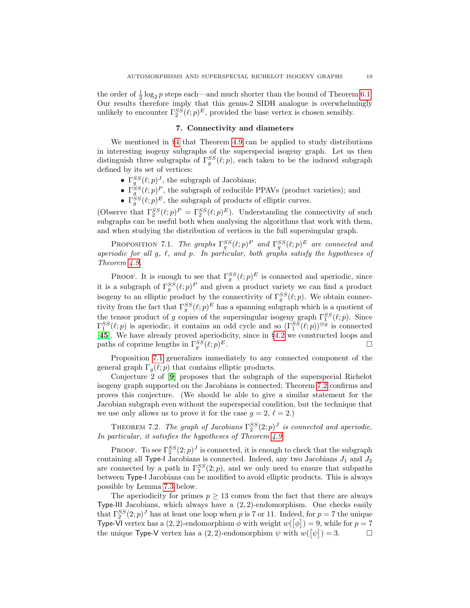the order of  $\frac{1}{2} \log_2 p$  steps each—and much shorter than the bound of Theorem [6.1.](#page-16-1) Our results therefore imply that this genus-2 SIDH analogue is overwhelmingly unlikely to encounter  $\Gamma_2^{SS}(\ell;p)^E$ , provided the base vertex is chosen sensibly.

## 7. Connectivity and diameters

<span id="page-18-0"></span>We mentioned in §[4](#page-5-0) that Theorem [4.9](#page-10-0) can be applied to study distributions in interesting isogeny subgraphs of the superspecial isogeny graph. Let us then distinguish three subgraphs of  $\Gamma_g^{SS}(\ell;p)$ , each taken to be the induced subgraph defined by its set of vertices:

- $\Gamma_g^{SS}(\ell;p)^J$ , the subgraph of Jacobians;
- $\Gamma_g^{SS}(\ell;p)^P$ , the subgraph of reducible PPAVs (product varieties); and
- $\Gamma_g^{SS}(\ell;p)^E$ , the subgraph of products of elliptic curves.

(Observe that  $\Gamma_2^{SS}(\ell;p)^P = \Gamma_2^{SS}(\ell;p)^E$ ). Understanding the connectivity of such subgraphs can be useful both when analysing the algorithms that work with them, and when studying the distribution of vertices in the full supersingular graph.

<span id="page-18-1"></span>PROPOSITION 7.1. The graphs  $\Gamma_g^{SS}(\ell;p)^P$  and  $\Gamma_g^{SS}(\ell;p)^E$  are connected and aperiodic for all g,  $\ell$ , and  $p$ . In particular, both graphs satisfy the hypotheses of Theorem [4.9.](#page-10-0)

**PROOF.** It is enough to see that  $\Gamma_g^{SS}(\ell;p)^E$  is connected and aperiodic, since it is a subgraph of  $\Gamma_g^{SS}(\ell;p)^P$  and given a product variety we can find a product isogeny to an elliptic product by the connectivity of  $\Gamma_g^{SS}(\ell;p)$ . We obtain connectivity from the fact that  $\Gamma_g^{SS}(\ell;p)^E$  has a spanning subgraph which is a quotient of the tensor product of g copies of the supersingular isogeny graph  $\Gamma_1^{SS}(\ell;p)$ . Since  $\Gamma_1^{SS}(\ell;p)$  is aperiodic, it contains an odd cycle and so  $(\Gamma_1^{SS}(\ell;p))^{\otimes g}$  is connected [[45](#page-24-4)]. We have already proved aperiodicity, since in §[4.2](#page-10-2) we constructed loops and paths of coprime lengths in  $\Gamma_g^{SS}(\ell;p)$  $E$ .

Proposition [7.1](#page-18-1) generalizes immediately to any connected component of the general graph  $\Gamma_q(\ell;p)$  that contains elliptic products.

Conjecture 2 of [[9](#page-22-4)] proposes that the subgraph of the superspecial Richelot isogeny graph supported on the Jacobians is connected; Theorem [7.2](#page-18-2) confirms and proves this conjecture. (We should be able to give a similar statement for the Jacobian subgraph even without the superspecial condition, but the technique that we use only allows us to prove it for the case  $g = 2, \ell = 2.$ )

<span id="page-18-2"></span>THEOREM 7.2. The graph of Jacobians  $\Gamma_2^{SS}(2;p)^J$  is connected and aperiodic. In particular, it satisfies the hypotheses of Theorem [4.9.](#page-10-0)

PROOF. To see  $\Gamma_2^{SS}(2;p)^J$  is connected, it is enough to check that the subgraph containing all Type-I Jacobians is connected. Indeed, any two Jacobians  $J_1$  and  $J_2$ are connected by a path in  $\Gamma_2^{SS}(2;p)$ , and we only need to ensure that subpaths between Type-I Jacobians can be modified to avoid elliptic products. This is always possible by Lemma [7.3](#page-19-0) below.

The aperiodicity for primes  $p \geq 13$  comes from the fact that there are always Type-III Jacobians, which always have a  $(2, 2)$ -endomorphism. One checks easily that  $\Gamma_2^{SS}(2;p)^J$  has at least one loop when p is 7 or 11. Indeed, for  $p=7$  the unique Type-VI vertex has a  $(2, 2)$ -endomorphism  $\phi$  with weight  $w([\phi]) = 9$ , while for  $p = 7$ the unique Type-V vertex has a  $(2, 2)$ -endomorphism  $\psi$  with  $w([\psi]) = 3$ .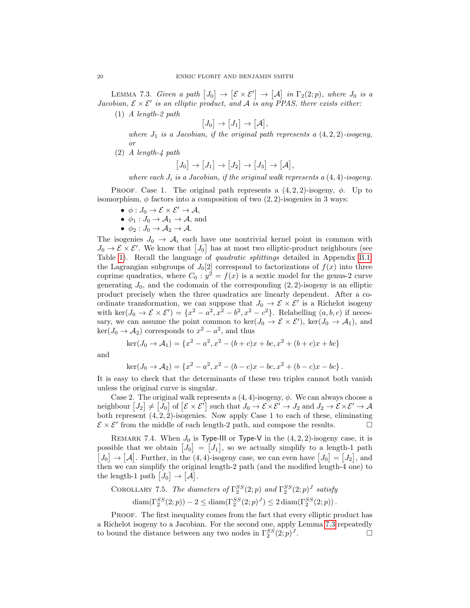<span id="page-19-0"></span>LEMMA 7.3. Given a path  $[J_0] \to [\mathcal{E} \times \mathcal{E}'] \to [\mathcal{A}]$  in  $\Gamma_2(2;p)$ , where  $J_0$  is a Jacobian,  $\mathcal{E} \times \mathcal{E}'$  is an elliptic product, and A is any PPAS, there exists either:

(1) A length-2 path

 $[J_0] \rightarrow [J_1] \rightarrow [A],$ 

where  $J_1$  is a Jacobian, if the original path represents a  $(4, 2, 2)$ -isogeny, or

(2) A length-4 path

$$
[J_0] \to [J_1] \to [J_2] \to [J_3] \to [\mathcal{A}],
$$

where each  $J_i$  is a Jacobian, if the original walk represents a  $(4, 4)$ -isogeny.

PROOF. Case 1. The original path represents a  $(4, 2, 2)$ -isogeny,  $\phi$ . Up to isomorphism,  $\phi$  factors into a composition of two  $(2, 2)$ -isogenies in 3 ways:

- $\phi: J_0 \to \mathcal{E} \times \mathcal{E}' \to \mathcal{A},$
- $\phi_1: J_0 \to \mathcal{A}_1 \to \mathcal{A}$ , and
- $\phi_2: J_0 \to \mathcal{A}_2 \to \mathcal{A}.$

The isogenies  $J_0 \rightarrow A_i$  each have one nontrivial kernel point in common with  $J_0 \to \mathcal{E} \times \mathcal{E}'$ . We know that  $[J_0]$  has at most two elliptic-product neighbours (see Table [1\)](#page-14-0). Recall the language of quadratic splittings detailed in Appendix [B.1:](#page-26-0) the Lagrangian subgroups of  $J_0[2]$  correspond to factorizations of  $f(x)$  into three coprime quadratics, where  $C_0: y^2 = f(x)$  is a sextic model for the genus-2 curve generating  $J_0$ , and the codomain of the corresponding  $(2, 2)$ -isogeny is an elliptic product precisely when the three quadratics are linearly dependent. After a coordinate transformation, we can suppose that  $J_0 \to \mathcal{E} \times \mathcal{E}'$  is a Richelot isogeny with ker $(J_0 \to \mathcal{E} \times \mathcal{E}') = \{x^2 - a^2, x^2 - b^2, x^2 - c^2\}$ . Relabelling  $(a, b, c)$  if necessary, we can assume the point common to  $\ker(J_0 \to \mathcal{E} \times \mathcal{E}')$ ,  $\ker(J_0 \to \mathcal{A}_1)$ , and  $\ker(J_0 \to \mathcal{A}_2)$  corresponds to  $x^2 - a^2$ , and thus

$$
ker(J_0 \to A_1) = \{x^2 - a^2, x^2 - (b+c)x + bc, x^2 + (b+c)x + bc\}
$$

and

$$
ker(J_0 \to A_2) = \{x^2 - a^2, x^2 - (b - c)x - bc, x^2 + (b - c)x - bc\}.
$$

It is easy to check that the determinants of these two triples cannot both vanish unless the original curve is singular.

Case 2. The original walk represents a  $(4, 4)$ -isogeny,  $\phi$ . We can always choose a neighbour  $[J_2] \neq [J_0]$  of  $[\mathcal{E} \times \mathcal{E}']$  such that  $J_0 \to \mathcal{E} \times \mathcal{E}' \to J_2$  and  $J_2 \to \mathcal{E} \times \mathcal{E}' \to \mathcal{A}$ both represent  $(4, 2, 2)$ -isogenies. Now apply Case 1 to each of these, eliminating  $\mathcal{E} \times \mathcal{E}'$  from the middle of each length-2 path, and compose the results.

REMARK 7.4. When  $J_0$  is Type-III or Type-V in the  $(4, 2, 2)$ -isogeny case, it is possible that we obtain  $[J_0] = [J_1]$ , so we actually simplify to a length-1 path  $[J_0] \rightarrow [\mathcal{A}]$ . Further, in the (4,4)-isogeny case, we can even have  $[J_0] = [J_2]$ , and then we can simplify the original length-2 path (and the modified length-4 one) to the length-1 path  $[J_0] \to [\mathcal{A}].$ 

<span id="page-19-1"></span>COROLLARY 7.5. The diameters of 
$$
\Gamma_2^{SS}(2;p)
$$
 and  $\Gamma_2^{SS}(2;p)^J$  satisfy  
\n
$$
\text{diam}(\Gamma_2^{SS}(2;p)) - 2 \le \text{diam}(\Gamma_2^{SS}(2;p)^J) \le 2 \cdot \text{diam}(\Gamma_2^{SS}(2;p)).
$$

PROOF. The first inequality comes from the fact that every elliptic product has a Richelot isogeny to a Jacobian. For the second one, apply Lemma [7.3](#page-19-0) repeatedly to bound the distance between any two nodes in  $\Gamma_2^{SS}(2;p)^J$ .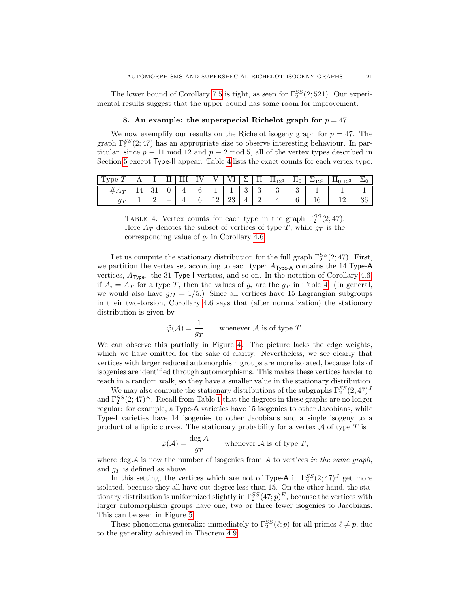The lower bound of Corollary [7.5](#page-19-1) is tight, as seen for  $\Gamma_2^{SS}(2,521)$ . Our experimental results suggest that the upper bound has some room for improvement.

## 8. An example: the superspecial Richelot graph for  $p = 47$

We now exemplify our results on the Richelot isogeny graph for  $p = 47$ . The graph  $\Gamma_2^{SS}(2; 47)$  has an appropriate size to observe interesting behaviour. In particular, since  $p \equiv 11 \mod 12$  and  $p \equiv 2 \mod 5$ , all of the vertex types described in Section [5](#page-11-0) except Type-II appear. Table [4](#page-20-0) lists the exact counts for each vertex type.

<span id="page-20-0"></span>

|                    |  |                          |   |                |    | – | . .           | $11_{123}$ | 110 | –<br>123 | 123<br><b>I</b><br>$\mathbf{v}$ |    |
|--------------------|--|--------------------------|---|----------------|----|---|---------------|------------|-----|----------|---------------------------------|----|
| $#A_T$<br><b>.</b> |  |                          | ີ |                |    | U | $\Omega$<br>ບ |            |     |          |                                 |    |
| $q_{\tau}$<br>◡    |  | $\overline{\phantom{a}}$ | ັ | $\sqrt{2}$<br> | ∠⊍ | ÷ | -             |            | ∽   | ⊥∪       |                                 | 36 |

TABLE 4. Vertex counts for each type in the graph  $\Gamma_2^{SS}(2;47)$ . Here  $A_T$  denotes the subset of vertices of type T, while  $g_T$  is the corresponding value of  $g_i$  in Corollary [4.6.](#page-8-1)

Let us compute the stationary distribution for the full graph  $\Gamma_2^{SS}(2;47)$ . First, we partition the vertex set according to each type:  $A_{Type-A}$  contains the 14 Type-A vertices,  $A_{Type-I}$  the 31 Type-I vertices, and so on. In the notation of Corollary [4.6,](#page-8-1) if  $A_i = A_T$  for a type T, then the values of  $g_i$  are the  $g_T$  in Table [4.](#page-20-0) (In general, we would also have  $g_{II} = 1/5$ .) Since all vertices have 15 Lagrangian subgroups in their two-torsion, Corollary [4.6](#page-8-1) says that (after normalization) the stationary distribution is given by

$$
\tilde{\varphi}(\mathcal{A}) = \frac{1}{g_T} \quad \text{whenever } \mathcal{A} \text{ is of type } T.
$$

We can observe this partially in Figure [4.](#page-21-2) The picture lacks the edge weights, which we have omitted for the sake of clarity. Nevertheless, we see clearly that vertices with larger reduced automorphism groups are more isolated, because lots of isogenies are identified through automorphisms. This makes these vertices harder to reach in a random walk, so they have a smaller value in the stationary distribution.

We may also compute the stationary distributions of the subgraphs  $\Gamma_2^{SS}(2;47)^J$ and  $\Gamma_2^{SS}(2, 47)^E$ . Recall from Table [1](#page-14-0) that the degrees in these graphs are no longer regular: for example, a Type-A varieties have 15 isogenies to other Jacobians, while Type-I varieties have 14 isogenies to other Jacobians and a single isogeny to a product of elliptic curves. The stationary probability for a vertex  $\mathcal A$  of type  $T$  is

$$
\tilde{\varphi}(\mathcal{A}) = \frac{\deg \mathcal{A}}{g_T} \qquad \text{whenever } \mathcal{A} \text{ is of type } T,
$$

where deg  $A$  is now the number of isogenies from  $A$  to vertices in the same graph, and  $g_T$  is defined as above.

In this setting, the vertices which are not of Type-A in  $\Gamma_2^{SS}(2;47)^J$  get more isolated, because they all have out-degree less than 15. On the other hand, the stationary distribution is uniformized slightly in  $\Gamma_2^{SS}(47;p)^E$ , because the vertices with larger automorphism groups have one, two or three fewer isogenies to Jacobians. This can be seen in Figure [5.](#page-22-8)

These phenomena generalize immediately to  $\Gamma_2^{SS}(\ell;p)$  for all primes  $\ell \neq p$ , due to the generality achieved in Theorem [4.9.](#page-10-0)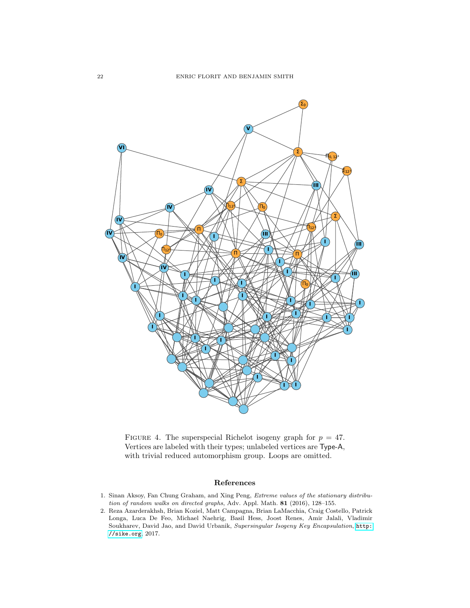<span id="page-21-2"></span>

FIGURE 4. The superspecial Richelot isogeny graph for  $p = 47$ . Vertices are labeled with their types; unlabeled vertices are Type-A, with trivial reduced automorphism group. Loops are omitted.

## References

- <span id="page-21-1"></span>1. Sinan Aksoy, Fan Chung Graham, and Xing Peng, Extreme values of the stationary distribution of random walks on directed graphs, Adv. Appl. Math. 81 (2016), 128–155.
- <span id="page-21-0"></span>2. Reza Azarderakhsh, Brian Koziel, Matt Campagna, Brian LaMacchia, Craig Costello, Patrick Longa, Luca De Feo, Michael Naehrig, Basil Hess, Joost Renes, Amir Jalali, Vladimir Soukharev, David Jao, and David Urbanik, Supersingular Isogeny Key Encapsulation, [http:](http://sike.org) [//sike.org](http://sike.org), 2017.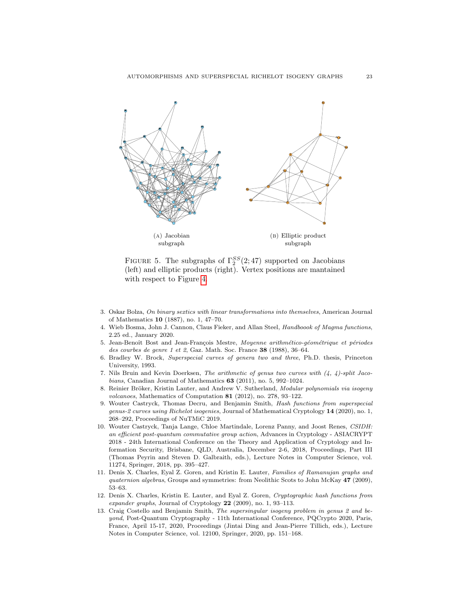<span id="page-22-8"></span>

FIGURE 5. The subgraphs of  $\Gamma_2^{SS}(2; 47)$  supported on Jacobians (left) and elliptic products (right). Vertex positions are mantained with respect to Figure [4.](#page-21-2)

- <span id="page-22-7"></span>3. Oskar Bolza, On binary sextics with linear transformations into themselves, American Journal of Mathematics 10 (1887), no. 1, 47–70.
- <span id="page-22-11"></span>4. Wieb Bosma, John J. Cannon, Claus Fieker, and Allan Steel, Handboook of Magma functions, 2.25 ed., January 2020.
- <span id="page-22-9"></span>5. Jean-Benoît Bost and Jean-François Mestre, Moyenne arithmético-géométrique et périodes des courbes de genre 1 et 2, Gaz. Math. Soc. France 38 (1988), 36–64.
- <span id="page-22-6"></span>6. Bradley W. Brock, Superspecial curves of genera two and three, Ph.D. thesis, Princeton University, 1993.
- <span id="page-22-10"></span>7. Nils Bruin and Kevin Doerksen, The arithmetic of genus two curves with (4, 4)-split Jacobians, Canadian Journal of Mathematics 63 (2011), no. 5, 992–1024.
- <span id="page-22-0"></span>8. Reinier Bröker, Kristin Lauter, and Andrew V. Sutherland, Modular polynomials via isogeny volcanoes, Mathematics of Computation 81 (2012), no. 278, 93–122.
- <span id="page-22-4"></span>9. Wouter Castryck, Thomas Decru, and Benjamin Smith, Hash functions from superspecial genus-2 curves using Richelot isogenies, Journal of Mathematical Cryptology 14 (2020), no. 1, 268–292, Proceedings of NuTMiC 2019.
- <span id="page-22-2"></span>10. Wouter Castryck, Tanja Lange, Chloe Martindale, Lorenz Panny, and Joost Renes, CSIDH: an efficient post-quantum commutative group action, Advances in Cryptology - ASIACRYPT 2018 - 24th International Conference on the Theory and Application of Cryptology and Information Security, Brisbane, QLD, Australia, December 2-6, 2018, Proceedings, Part III (Thomas Peyrin and Steven D. Galbraith, eds.), Lecture Notes in Computer Science, vol. 11274, Springer, 2018, pp. 395–427.
- <span id="page-22-3"></span>11. Denis X. Charles, Eyal Z. Goren, and Kristin E. Lauter, Families of Ramanujan graphs and quaternion algebras, Groups and symmetries: from Neolithic Scots to John McKay 47 (2009), 53–63.
- <span id="page-22-1"></span>12. Denis X. Charles, Kristin E. Lauter, and Eyal Z. Goren, Cryptographic hash functions from expander graphs, Journal of Cryptology 22 (2009), no. 1, 93–113.
- <span id="page-22-5"></span>13. Craig Costello and Benjamin Smith, The supersingular isogeny problem in genus 2 and beyond, Post-Quantum Cryptography - 11th International Conference, PQCrypto 2020, Paris, France, April 15-17, 2020, Proceedings (Jintai Ding and Jean-Pierre Tillich, eds.), Lecture Notes in Computer Science, vol. 12100, Springer, 2020, pp. 151–168.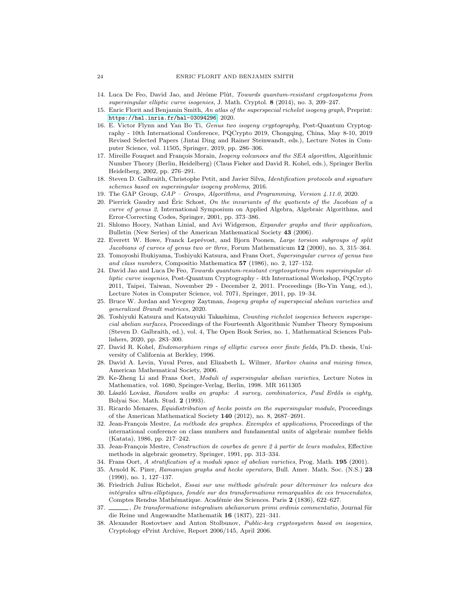- <span id="page-23-5"></span>14. Luca De Feo, David Jao, and Jérôme Plût, Towards quantum-resistant cryptosystems from supersingular elliptic curve isogenies, J. Math. Cryptol. 8 (2014), no. 3, 209–247.
- <span id="page-23-20"></span>15. Enric Florit and Benjamin Smith, An atlas of the superspecial richelot isogeny graph, Preprint: <https://hal.inria.fr/hal-03094296>, 2020.
- <span id="page-23-6"></span>16. E. Victor Flynn and Yan Bo Ti, Genus two isogeny cryptography, Post-Quantum Cryptography - 10th International Conference, PQCrypto 2019, Chongqing, China, May 8-10, 2019 Revised Selected Papers (Jintai Ding and Rainer Steinwandt, eds.), Lecture Notes in Computer Science, vol. 11505, Springer, 2019, pp. 286–306.
- <span id="page-23-2"></span>17. Mireille Fouquet and François Morain, Isogeny volcanoes and the SEA algorithm, Algorithmic Number Theory (Berlin, Heidelberg) (Claus Fieker and David R. Kohel, eds.), Springer Berlin Heidelberg, 2002, pp. 276–291.
- <span id="page-23-15"></span>18. Steven D. Galbraith, Christophe Petit, and Javier Silva, Identification protocols and signature schemes based on supersingular isogeny problems, 2016.
- <span id="page-23-19"></span>19. The GAP Group, GAP – Groups, Algorithms, and Programming, Version 4.11.0, 2020.
- <span id="page-23-21"></span>20. Pierrick Gaudry and Éric Schost, On the invariants of the quotients of the Jacobian of  $a$ curve of genus 2, International Symposium on Applied Algebra, Algebraic Algorithms, and Error-Correcting Codes, Springer, 2001, pp. 373–386.
- <span id="page-23-13"></span>21. Shlomo Hoory, Nathan Linial, and Avi Widgerson, Expander graphs and their application, Bulletin (New Series) of the American Mathematical Society 43 (2006).
- <span id="page-23-23"></span>22. Everett W. Howe, Franck Leprévost, and Bjorn Poonen, Large torsion subgroups of split Jacobians of curves of genus two or three, Forum Mathematicum 12 (2000), no. 3, 315–364.
- <span id="page-23-22"></span>23. Tomoyoshi Ibukiyama, Toshiyuki Katsura, and Frans Oort, Supersingular curves of genus two and class numbers, Compositio Mathematica  $57$  (1986), no. 2, 127–152.
- <span id="page-23-4"></span>24. David Jao and Luca De Feo, Towards quantum-resistant cryptosystems from supersingular elliptic curve isogenies, Post-Quantum Cryptography - 4th International Workshop, PQCrypto 2011, Taipei, Taiwan, November 29 - December 2, 2011. Proceedings (Bo-Yin Yang, ed.), Lecture Notes in Computer Science, vol. 7071, Springer, 2011, pp. 19–34.
- <span id="page-23-7"></span>25. Bruce W. Jordan and Yevgeny Zaytman, Isogeny graphs of superspecial abelian varieties and generalized Brandt matrices, 2020.
- <span id="page-23-8"></span>26. Toshiyuki Katsura and Katsuyuki Takashima, Counting richelot isogenies between superspecial abelian surfaces, Proceedings of the Fourteenth Algorithmic Number Theory Symposium (Steven D. Galbraith, ed.), vol. 4, The Open Book Series, no. 1, Mathematical Sciences Publishers, 2020, pp. 283–300.
- <span id="page-23-1"></span>27. David R. Kohel, Endomorphism rings of elliptic curves over finite fields, Ph.D. thesis, University of California at Berkley, 1996.
- <span id="page-23-11"></span>28. David A. Levin, Yuval Peres, and Elizabeth L. Wilmer, Markov chains and mixing times, American Mathematical Society, 2006.
- <span id="page-23-9"></span>29. Ke-Zheng Li and Frans Oort, Moduli of supersingular abelian varieties, Lecture Notes in Mathematics, vol. 1680, Springer-Verlag, Berlin, 1998. MR 1611305
- <span id="page-23-12"></span>30. László Lovász, Random walks on graphs: A survey, combinatorics, Paul Erdős is eighty, Bolyai Soc. Math. Stud. 2 (1993).
- <span id="page-23-14"></span>31. Ricardo Menares, Equidistribution of hecke points on the supersingular module, Proceedings of the American Mathematical Society 140 (2012), no. 8, 2687–2691.
- <span id="page-23-0"></span>32. Jean-François Mestre, La méthode des graphes. Exemples et applications, Proceedings of the international conference on class numbers and fundamental units of algebraic number fields (Katata), 1986, pp. 217–242.
- <span id="page-23-24"></span>33. Jean-François Mestre, Construction de courbes de genre 2 à partir de leurs modules, Effective methods in algebraic geometry, Springer, 1991, pp. 313–334.
- <span id="page-23-10"></span>34. Frans Oort, A stratification of a moduli space of abelian varieties, Prog. Math. 195 (2001).
- <span id="page-23-16"></span>35. Arnold K. Pizer, Ramanujan graphs and hecke operators, Bull. Amer. Math. Soc. (N.S.) 23 (1990), no. 1, 127–137.
- <span id="page-23-17"></span>36. Friedrich Julius Richelot, Essai sur une méthode générale pour déterminer les valeurs des intégrales ultra-elliptiques, fondée sur des transformations remarquables de ces trnscendates, Comptes Rendus Mathématique. Académie des Sciences. Paris 2 (1836), 622–627.
- <span id="page-23-18"></span>37.  $\_\_\_\_\_\_\_\_\_\_\_\.\$  De transformatione integralium abelianorum primi ordinis commentatio, Journal für die Reine und Angewandte Mathematik 16 (1837), 221–341.
- <span id="page-23-3"></span>38. Alexander Rostovtsev and Anton Stolbunov, Public-key cryptosystem based on isogenies, Cryptology ePrint Archive, Report 2006/145, April 2006.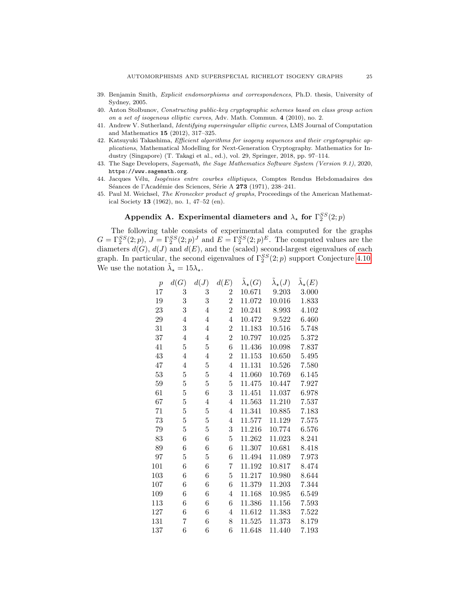- <span id="page-24-5"></span>39. Benjamin Smith, Explicit endomorphisms and correspondences, Ph.D. thesis, University of Sydney, 2005.
- <span id="page-24-1"></span>40. Anton Stolbunov, Constructing public-key cryptographic schemes based on class group action on a set of isogenous elliptic curves, Adv. Math. Commun. 4 (2010), no. 2.
- <span id="page-24-0"></span>41. Andrew V. Sutherland, Identifying supersingular elliptic curves, LMS Journal of Computation and Mathematics 15 (2012), 317–325.
- <span id="page-24-2"></span>42. Katsuyuki Takashima, Efficient algorithms for isogeny sequences and their cryptographic applications, Mathematical Modelling for Next-Generation Cryptography. Mathematics for Industry (Singapore) (T. Takagi et al., ed.), vol. 29, Springer, 2018, pp. 97–114.
- <span id="page-24-7"></span>43. The Sage Developers, Sagemath, the Sage Mathematics Software System (Version 9.1), 2020, https://www.sagemath.org.
- <span id="page-24-6"></span>44. Jacques Vélu, Isogénies entre courbes elliptiques, Comptes Rendus Hebdomadaires des Séances de l'Académie des Sciences, Série A 273 (1971), 238–241.
- <span id="page-24-4"></span>45. Paul M. Weichsel, The Kronecker product of graphs, Proceedings of the American Mathematical Society 13 (1962), no. 1, 47–52 (en).

# Appendix A. Experimental diameters and  $\lambda_{\star}$  for  $\Gamma_2^{SS}(2;p)$

<span id="page-24-3"></span>The following table consists of experimental data computed for the graphs  $G = \Gamma_2^{SS}(2; p)$ ,  $J = \Gamma_2^{SS}(2; p)^J$  and  $E = \Gamma_2^{SS}(2; p)^E$ . The computed values are the diameters  $d(G)$ ,  $d(J)$  and  $d(E)$ , and the (scaled) second-largest eigenvalues of each graph. In particular, the second eigenvalues of  $\Gamma_2^{SS}(2;p)$  support Conjecture [4.10.](#page-11-2) We use the notation  $\tilde{\lambda}_\star = 15\lambda_\star$ .

| $\overline{p}$ | d(G)           | d(J)           | d(E)           | $\lambda_{\star}(G)$ | $\lambda_\star(J)$ | $\lambda_{\star}(E)$ |
|----------------|----------------|----------------|----------------|----------------------|--------------------|----------------------|
| 17             | 3              | 3              | $\overline{2}$ | 10.671               | 9.203              | 3.000                |
| 19             | 3              | 3              | $\overline{2}$ | 11.072               | 10.016             | $1.833\,$            |
| 23             | 3              | 4              | $\overline{2}$ | 10.241               | 8.993              | 4.102                |
| 29             | 4              | 4              | 4              | 10.472               | 9.522              | 6.460                |
| 31             | 3              | 4              | $\overline{2}$ | 11.183               | 10.516             | 5.748                |
| 37             | 4              | 4              | $\overline{2}$ | 10.797               | 10.025             | 5.372                |
| 41             | 5              | 5              | 6              | 11.436               | 10.098             | 7.837                |
| 43             | 4              | $\overline{4}$ | $\overline{2}$ | 11.153               | 10.650             | 5.495                |
| 47             | 4              | $\overline{5}$ | $\overline{4}$ | 11.131               | 10.526             | 7.580                |
| 53             | 5              | $\overline{5}$ | 4              | 11.060               | 10.769             | 6.145                |
| 59             | $\overline{5}$ | $\overline{5}$ | 5              | 11.475               | 10.447             | 7.927                |
| 61             | 5              | 6              | 3              | 11.451               | 11.037             | 6.978                |
| 67             | 5              | 4              | 4              | 11.563               | 11.210             | 7.537                |
| 71             | $\overline{5}$ | $\overline{5}$ | 4              | 11.341               | 10.885             | 7.183                |
| 73             | 5              | $\overline{5}$ | $\overline{4}$ | 11.577               | 11.129             | 7.575                |
| 79             | 5              | $\overline{5}$ | 3              | 11.216               | 10.774             | 6.576                |
| 83             | 6              | 6              | 5              | 11.262               | 11.023             | 8.241                |
| 89             | 6              | 6              | 6              | 11.307               | 10.681             | 8.418                |
| 97             | 5              | 5              | 6              | 11.494               | 11.089             | 7.973                |
| 101            | 6              | 6              | 7              | 11.192               | 10.817             | 8.474                |
| 103            | 6              | 6              | $\overline{5}$ | 11.217               | 10.980             | 8.644                |
| 107            | 6              | 6              | 6              | 11.379               | 11.203             | 7.344                |
| 109            | 6              | 6              | 4              | 11.168               | 10.985             | 6.549                |
| 113            | 6              | 6              | 6              | 11.386               | 11.156             | 7.593                |
| 127            | 6              | 6              | 4              | 11.612               | 11.383             | $7.522\,$            |
| 131            | 7              | 6              | 8              | 11.525               | 11.373             | 8.179                |
| 137            | 6              | 6              | 6              | 11.648               | 11.440             | 7.193                |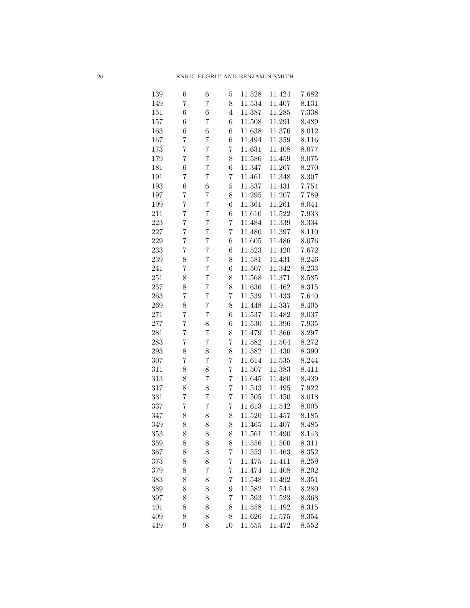| 139 | 6              | 6              | $\overline{5}$ | 11.528 | 11.424 | 7.682     |
|-----|----------------|----------------|----------------|--------|--------|-----------|
| 149 | 7              | $\overline{7}$ | 8              | 11.534 | 11.407 | 8.131     |
| 151 | 6              | 6              | 4              | 11.387 | 11.285 | 7.338     |
| 157 | 6              | $\overline{7}$ | 6              | 11.508 | 11.291 | 8.489     |
| 163 | 6              | 6              | 6              | 11.638 | 11.376 | 8.012     |
| 167 | 7              | $\overline{7}$ | 6              | 11.494 | 11.359 | 8.116     |
| 173 | 7              | $\overline{7}$ | 7              | 11.631 | 11.408 | 8.077     |
| 179 | 7              | $\overline{7}$ | 8              | 11.586 | 11.459 | 8.075     |
| 181 | $\overline{6}$ | $\overline{7}$ | 6              | 11.347 | 11.267 | 8.270     |
| 191 | 7              | $\overline{7}$ | 7              | 11.461 | 11.348 | 8.307     |
| 193 | $\overline{6}$ | 6              | $\overline{5}$ | 11.537 | 11.431 | 7.754     |
| 197 | 7              | $\overline{7}$ | 8              | 11.295 | 11.207 | 7.789     |
| 199 | 7              | $\overline{7}$ | 6              | 11.361 | 11.261 | 8.041     |
| 211 | 7              | $\overline{7}$ | 6              | 11.610 | 11.522 | 7.933     |
| 223 | 7              | $\overline{7}$ | 7              | 11.484 | 11.339 | 8.334     |
| 227 | 7              | $\overline{7}$ | 7              | 11.480 | 11.397 | 8.110     |
| 229 | 7              | $\overline{7}$ | 6              | 11.605 | 11.486 | 8.076     |
| 233 | 7              | $\overline{7}$ | 6              | 11.523 | 11.420 | 7.672     |
| 239 | 8              | $\overline{7}$ | 8              | 11.581 | 11.431 | 8.246     |
| 241 | 7              | $\overline{7}$ | 6              | 11.507 | 11.342 | 8.233     |
| 251 | 8              | $\overline{7}$ | 8              | 11.568 | 11.371 | 8.585     |
| 257 | 8              | $\overline{7}$ | 8              | 11.636 | 11.462 | 8.315     |
| 263 | 7              | $\overline{7}$ | 7              | 11.539 | 11.433 | 7.640     |
| 269 | 8              | $\overline{7}$ | 8              | 11.448 | 11.337 | 8.405     |
| 271 | 7              | $\overline{7}$ | 6              | 11.537 | 11.482 | 8.037     |
| 277 | $\overline{7}$ | 8              | 6              | 11.530 | 11.396 | 7.935     |
| 281 | $\overline{7}$ | $\overline{7}$ | 8              | 11.479 | 11.366 | 8.297     |
| 283 | 7              | $\overline{7}$ | 7              | 11.582 | 11.504 | 8.272     |
| 293 | 8              | 8              | 8              | 11.582 | 11.430 | 8.390     |
| 307 | 7              | $\overline{7}$ | 7              | 11.614 | 11.535 | 8.244     |
| 311 | 8              | 8              | $\overline{7}$ | 11.507 | 11.383 | 8.411     |
| 313 | 8              | $\overline{7}$ | 7              | 11.645 | 11.480 | 8.439     |
| 317 | 8              | 8              | 7              | 11.543 | 11.495 | 7.922     |
| 331 | $\overline{7}$ | $\overline{7}$ | 7              | 11.505 | 11.450 | 8.018     |
| 337 | $\overline{7}$ | $\overline{7}$ | $\overline{7}$ | 11.613 | 11.542 | 8.005     |
| 347 | 8              | 8              | 8              | 11.520 | 11.457 | 8.185     |
| 349 | 8              | 8              | 8              | 11.465 | 11.407 | 8.485     |
| 353 | 8              | 8              | 8              | 11.561 | 11.490 | $8.143\,$ |
| 359 | 8              | 8              | 8              | 11.556 | 11.500 | 8.311     |
| 367 | 8              | 8              | $\overline{7}$ | 11.553 | 11.463 | 8.352     |
| 373 | 8              | 8              | 7              | 11.475 | 11.411 | 8.259     |
| 379 | 8              | $\overline{7}$ | 7              | 11.474 | 11.408 | 8.202     |
| 383 | 8              | 8              | 7              | 11.548 | 11.492 | 8.351     |
| 389 | 8              | 8              | 9              | 11.582 | 11.544 | 8.280     |
| 397 | 8              | 8              | 7              | 11.593 | 11.523 | 8.368     |
| 401 | 8              | 8              | 8              | 11.558 | 11.492 | 8.315     |
| 409 | 8              | 8              | 8              | 11.626 | 11.575 | 8.354     |
| 419 | 9              | 8              | 10             | 11.555 | 11.472 | 8.552     |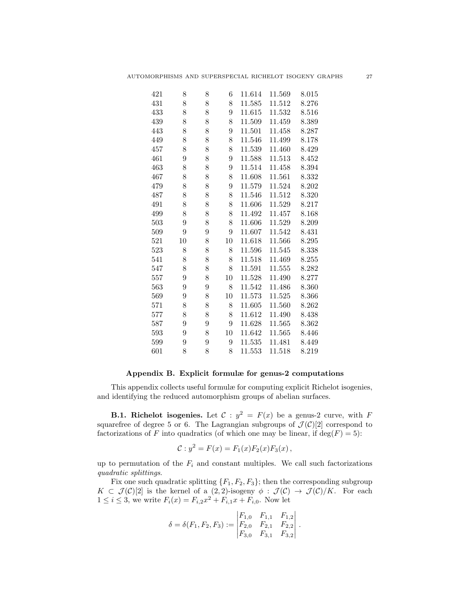| 421 | 8  | 8 | 6  | 11.614 | 11.569 | 8.015 |
|-----|----|---|----|--------|--------|-------|
| 431 | 8  | 8 | 8  | 11.585 | 11.512 | 8.276 |
| 433 | 8  | 8 | 9  | 11.615 | 11.532 | 8.516 |
| 439 | 8  | 8 | 8  | 11.509 | 11.459 | 8.389 |
| 443 | 8  | 8 | 9  | 11.501 | 11.458 | 8.287 |
| 449 | 8  | 8 | 8  | 11.546 | 11.499 | 8.178 |
| 457 | 8  | 8 | 8  | 11.539 | 11.460 | 8.429 |
| 461 | 9  | 8 | 9  | 11.588 | 11.513 | 8.452 |
| 463 | 8  | 8 | 9  | 11.514 | 11.458 | 8.394 |
| 467 | 8  | 8 | 8  | 11.608 | 11.561 | 8.332 |
| 479 | 8  | 8 | 9  | 11.579 | 11.524 | 8.202 |
| 487 | 8  | 8 | 8  | 11.546 | 11.512 | 8.320 |
| 491 | 8  | 8 | 8  | 11.606 | 11.529 | 8.217 |
| 499 | 8  | 8 | 8  | 11.492 | 11.457 | 8.168 |
| 503 | 9  | 8 | 8  | 11.606 | 11.529 | 8.209 |
| 509 | 9  | 9 | 9  | 11.607 | 11.542 | 8.431 |
| 521 | 10 | 8 | 10 | 11.618 | 11.566 | 8.295 |
| 523 | 8  | 8 | 8  | 11.596 | 11.545 | 8.338 |
| 541 | 8  | 8 | 8  | 11.518 | 11.469 | 8.255 |
| 547 | 8  | 8 | 8  | 11.591 | 11.555 | 8.282 |
| 557 | 9  | 8 | 10 | 11.528 | 11.490 | 8.277 |
| 563 | 9  | 9 | 8  | 11.542 | 11.486 | 8.360 |
| 569 | 9  | 8 | 10 | 11.573 | 11.525 | 8.366 |
| 571 | 8  | 8 | 8  | 11.605 | 11.560 | 8.262 |
| 577 | 8  | 8 | 8  | 11.612 | 11.490 | 8.438 |
| 587 | 9  | 9 | 9  | 11.628 | 11.565 | 8.362 |
| 593 | 9  | 8 | 10 | 11.642 | 11.565 | 8.446 |
| 599 | 9  | 9 | 9  | 11.535 | 11.481 | 8.449 |
| 601 | 8  | 8 | 8  | 11.553 | 11.518 | 8.219 |

### Appendix B. Explicit formulæ for genus-2 computations

This appendix collects useful formulæ for computing explicit Richelot isogenies, and identifying the reduced automorphism groups of abelian surfaces.

<span id="page-26-0"></span>**B.1. Richelot isogenies.** Let  $C: y^2 = F(x)$  be a genus-2 curve, with F squarefree of degree 5 or 6. The Lagrangian subgroups of  $\mathcal{J}(\mathcal{C})[2]$  correspond to factorizations of F into quadratics (of which one may be linear, if  $deg(F) = 5$ ):

$$
C: y^2 = F(x) = F_1(x)F_2(x)F_3(x),
$$

up to permutation of the  $F_i$  and constant multiples. We call such factorizations quadratic splittings.

Fix one such quadratic splitting  $\{F_1, F_2, F_3\}$ ; then the corresponding subgroup  $K \subset \mathcal{J}(\mathcal{C})[2]$  is the kernel of a  $(2,2)$ -isogeny  $\phi : \mathcal{J}(\mathcal{C}) \to \mathcal{J}(\mathcal{C})/K$ . For each  $1 \leq i \leq 3$ , we write  $F_i(x) = F_{i,2}x^2 + F_{i,1}x + F_{i,0}$ . Now let

$$
\delta = \delta(F_1, F_2, F_3) := \begin{vmatrix} F_{1,0} & F_{1,1} & F_{1,2} \\ F_{2,0} & F_{2,1} & F_{2,2} \\ F_{3,0} & F_{3,1} & F_{3,2} \end{vmatrix}.
$$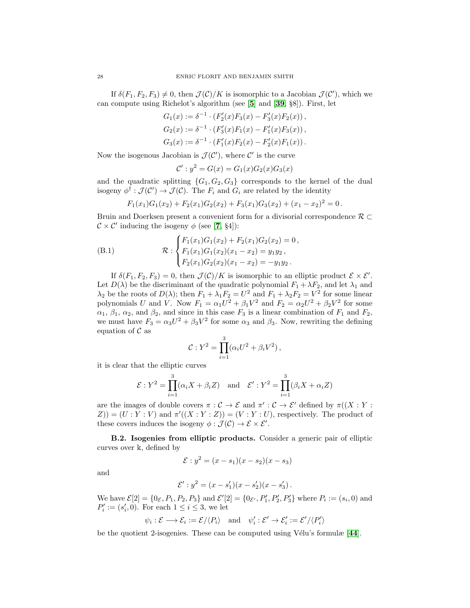If  $\delta(F_1, F_2, F_3) \neq 0$ , then  $\mathcal{J}(\mathcal{C})/K$  is isomorphic to a Jacobian  $\mathcal{J}(\mathcal{C}')$ , which we can compute using Richelot's algorithm (see [[5](#page-22-9)] and [[39](#page-24-5), §8]). First, let

$$
G_1(x) := \delta^{-1} \cdot (F'_2(x)F_3(x) - F'_3(x)F_2(x)),
$$
  
\n
$$
G_2(x) := \delta^{-1} \cdot (F'_3(x)F_1(x) - F'_1(x)F_3(x)),
$$
  
\n
$$
G_3(x) := \delta^{-1} \cdot (F'_1(x)F_2(x) - F'_2(x)F_1(x)).
$$

Now the isogenous Jacobian is  $\mathcal{J}(\mathcal{C}')$ , where  $\mathcal{C}'$  is the curve

$$
\mathcal{C}' : y^2 = G(x) = G_1(x)G_2(x)G_3(x)
$$

and the quadratic splitting  ${G_1, G_2, G_3}$  corresponds to the kernel of the dual isogeny  $\phi^{\dagger} : \mathcal{J}(\mathcal{C}') \to \mathcal{J}(\mathcal{C})$ . The  $F_i$  and  $G_i$  are related by the identity

$$
F_1(x_1)G_1(x_2) + F_2(x_1)G_2(x_2) + F_3(x_1)G_3(x_2) + (x_1 - x_2)^2 = 0.
$$

Bruin and Doerksen present a convenient form for a divisorial correspondence  $\mathcal{R} \subset$  $\mathcal{C} \times \mathcal{C}'$  inducing the isogeny  $\phi$  (see [[7](#page-22-10), §4]):

(B.1) 
$$
\mathcal{R}: \begin{cases} F_1(x_1)G_1(x_2) + F_2(x_1)G_2(x_2) = 0, \\ F_1(x_1)G_1(x_2)(x_1 - x_2) = y_1y_2, \\ F_2(x_1)G_2(x_2)(x_1 - x_2) = -y_1y_2. \end{cases}
$$

If  $\delta(F_1, F_2, F_3) = 0$ , then  $\mathcal{J}(\mathcal{C})/K$  is isomorphic to an elliptic product  $\mathcal{E} \times \mathcal{E}'$ . Let  $D(\lambda)$  be the discriminant of the quadratic polynomial  $F_1 + \lambda F_2$ , and let  $\lambda_1$  and  $\lambda_2$  be the roots of  $D(\lambda)$ ; then  $F_1 + \lambda_1 F_2 = U^2$  and  $F_1 + \lambda_2 F_2 = V^2$  for some linear polynomials U and V. Now  $F_1 = \alpha_1 U^2 + \beta_1 V^2$  and  $F_2 = \alpha_2 U^2 + \beta_2 V^2$  for some  $\alpha_1, \beta_1, \alpha_2$ , and  $\beta_2$ , and since in this case  $F_3$  is a linear combination of  $F_1$  and  $F_2$ , we must have  $F_3 = \alpha_3 U^2 + \beta_3 V^2$  for some  $\alpha_3$  and  $\beta_3$ . Now, rewriting the defining equation of  $\mathcal C$  as

$$
\mathcal{C}: Y^2 = \prod_{i=1}^3 (\alpha_i U^2 + \beta_i V^2),
$$

it is clear that the elliptic curves

$$
\mathcal{E}: Y^2 = \prod_{i=1}^3 (\alpha_i X + \beta_i Z) \text{ and } \mathcal{E}': Y^2 = \prod_{i=1}^3 (\beta_i X + \alpha_i Z)
$$

are the images of double covers  $\pi : \mathcal{C} \to \mathcal{E}$  and  $\pi' : \mathcal{C} \to \mathcal{E}'$  defined by  $\pi((X : Y : Y)$  $Z$ )) =  $(U:Y:V)$  and  $\pi'((X:Y:Z)) = (V:Y:U)$ , respectively. The product of these covers induces the isogeny  $\phi : \mathcal{J}(\mathcal{C}) \to \mathcal{E} \times \mathcal{E}'$ .

<span id="page-27-0"></span>B.2. Isogenies from elliptic products. Consider a generic pair of elliptic curves over k, defined by

$$
\mathcal{E}: y^2 = (x - s_1)(x - s_2)(x - s_3)
$$

and

$$
\mathcal{E}' : y^2 = (x - s'_1)(x - s'_2)(x - s'_3).
$$

We have  $\mathcal{E}[2] = \{0_{\mathcal{E}}, P_1, P_2, P_3\}$  and  $\mathcal{E}'[2] = \{0_{\mathcal{E}'}, P'_1, P'_2, P'_3\}$  where  $P_i := (s_i, 0)$  and  $P'_i := (s'_i, 0)$ . For each  $1 \leq i \leq 3$ , we let

$$
\psi_i : \mathcal{E} \longrightarrow \mathcal{E}_i := \mathcal{E} / \langle P_i \rangle \text{ and } \psi'_i : \mathcal{E}' \rightarrow \mathcal{E}'_i := \mathcal{E}' / \langle P'_i \rangle
$$

be the quotient 2-isogenies. These can be computed using Vélu's formulæ  $[44]$  $[44]$  $[44]$ .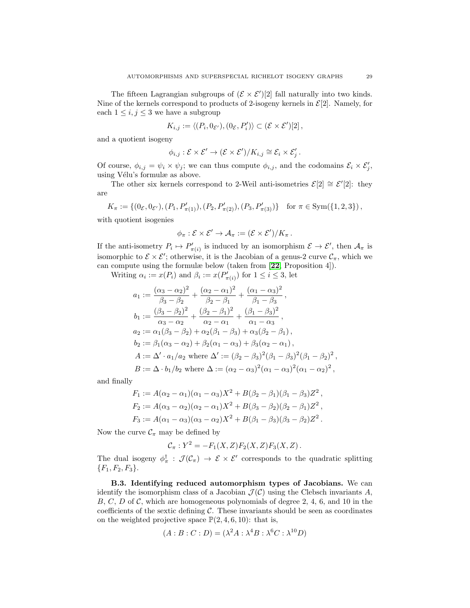The fifteen Lagrangian subgroups of  $(\mathcal{E} \times \mathcal{E}')[2]$  fall naturally into two kinds. Nine of the kernels correspond to products of 2-isogeny kernels in  $\mathcal{E}[2]$ . Namely, for each  $1\leq i,j\leq 3$  we have a subgroup

$$
K_{i,j} := \langle (P_i, 0_{\mathcal{E}'}), (0_{\mathcal{E}}, P'_i) \rangle \subset (\mathcal{E} \times \mathcal{E}')[2],
$$

and a quotient isogeny

$$
\phi_{i,j} : \mathcal{E} \times \mathcal{E}' \to (\mathcal{E} \times \mathcal{E}')/K_{i,j} \cong \mathcal{E}_i \times \mathcal{E}'_j.
$$

Of course,  $\phi_{i,j} = \psi_i \times \psi_j$ ; we can thus compute  $\phi_{i,j}$ , and the codomains  $\mathcal{E}_i \times \mathcal{E}'_j$ , using Vélu's formulæ as above.

The other six kernels correspond to 2-Weil anti-isometries  $\mathcal{E}[2] \cong \mathcal{E}'[2]$ : they are

$$
K_{\pi} := \left\{ (0_{\mathcal{E}}, 0_{\mathcal{E}'}), (P_1, P'_{\pi(1)}), (P_2, P'_{\pi(2)}), (P_3, P'_{\pi(3)}) \right\} \text{ for } \pi \in \text{Sym}(\{1, 2, 3\}),
$$

with quotient isogenies

$$
\phi_{\pi}: \mathcal{E} \times \mathcal{E}' \to \mathcal{A}_{\pi} := (\mathcal{E} \times \mathcal{E}')/K_{\pi}.
$$

If the anti-isometry  $P_i \mapsto P'_{\pi(i)}$  is induced by an isomorphism  $\mathcal{E} \to \mathcal{E}'$ , then  $\mathcal{A}_{\pi}$  is isomorphic to  $\mathcal{E} \times \mathcal{E}'$ ; otherwise, it is the Jacobian of a genus-2 curve  $\mathcal{C}_{\pi}$ , which we can compute using the formulæ below (taken from [[22](#page-23-23), Proposition 4]).

Writing  $\alpha_i := x(P_i)$  and  $\beta_i := x(P'_{\pi(i)})$  for  $1 \leq i \leq 3$ , let

$$
a_1 := \frac{(\alpha_3 - \alpha_2)^2}{\beta_3 - \beta_2} + \frac{(\alpha_2 - \alpha_1)^2}{\beta_2 - \beta_1} + \frac{(\alpha_1 - \alpha_3)^2}{\beta_1 - \beta_3},
$$
  
\n
$$
b_1 := \frac{(\beta_3 - \beta_2)^2}{\alpha_3 - \alpha_2} + \frac{(\beta_2 - \beta_1)^2}{\alpha_2 - \alpha_1} + \frac{(\beta_1 - \beta_3)^2}{\alpha_1 - \alpha_3},
$$
  
\n
$$
a_2 := \alpha_1(\beta_3 - \beta_2) + \alpha_2(\beta_1 - \beta_3) + \alpha_3(\beta_2 - \beta_1),
$$
  
\n
$$
b_2 := \beta_1(\alpha_3 - \alpha_2) + \beta_2(\alpha_1 - \alpha_3) + \beta_3(\alpha_2 - \alpha_1),
$$
  
\n
$$
A := \Delta' \cdot a_1/a_2 \text{ where } \Delta' := (\beta_2 - \beta_3)^2(\beta_1 - \beta_3)^2(\beta_1 - \beta_2)^2,
$$
  
\n
$$
B := \Delta \cdot b_1/b_2 \text{ where } \Delta := (\alpha_2 - \alpha_3)^2(\alpha_1 - \alpha_3)^2(\alpha_1 - \alpha_2)^2,
$$

and finally

$$
F_1 := A(\alpha_2 - \alpha_1)(\alpha_1 - \alpha_3)X^2 + B(\beta_2 - \beta_1)(\beta_1 - \beta_3)Z^2,
$$
  
\n
$$
F_2 := A(\alpha_3 - \alpha_2)(\alpha_2 - \alpha_1)X^2 + B(\beta_3 - \beta_2)(\beta_2 - \beta_1)Z^2,
$$
  
\n
$$
F_3 := A(\alpha_1 - \alpha_3)(\alpha_3 - \alpha_2)X^2 + B(\beta_1 - \beta_3)(\beta_3 - \beta_2)Z^2.
$$

Now the curve  $\mathcal{C}_{\pi}$  may be defined by

$$
C_{\pi}: Y^2 = -F_1(X, Z)F_2(X, Z)F_3(X, Z).
$$

The dual isogeny  $\phi_{\pi}^{\dagger}$ :  $\mathcal{J}(\mathcal{C}_{\pi}) \to \mathcal{E} \times \mathcal{E}'$  corresponds to the quadratic splitting  ${F_1, F_2, F_3}.$ 

<span id="page-28-0"></span>B.3. Identifying reduced automorphism types of Jacobians. We can identify the isomorphism class of a Jacobian  $\mathcal{J}(\mathcal{C})$  using the Clebsch invariants A,  $B, C, D$  of C, which are homogeneous polynomials of degree 2, 4, 6, and 10 in the coefficients of the sextic defining  $C$ . These invariants should be seen as coordinates on the weighted projective space  $\mathbb{P}(2, 4, 6, 10)$ : that is,

$$
(A:B:C:D) = (\lambda^2 A : \lambda^4 B : \lambda^6 C : \lambda^{10} D)
$$